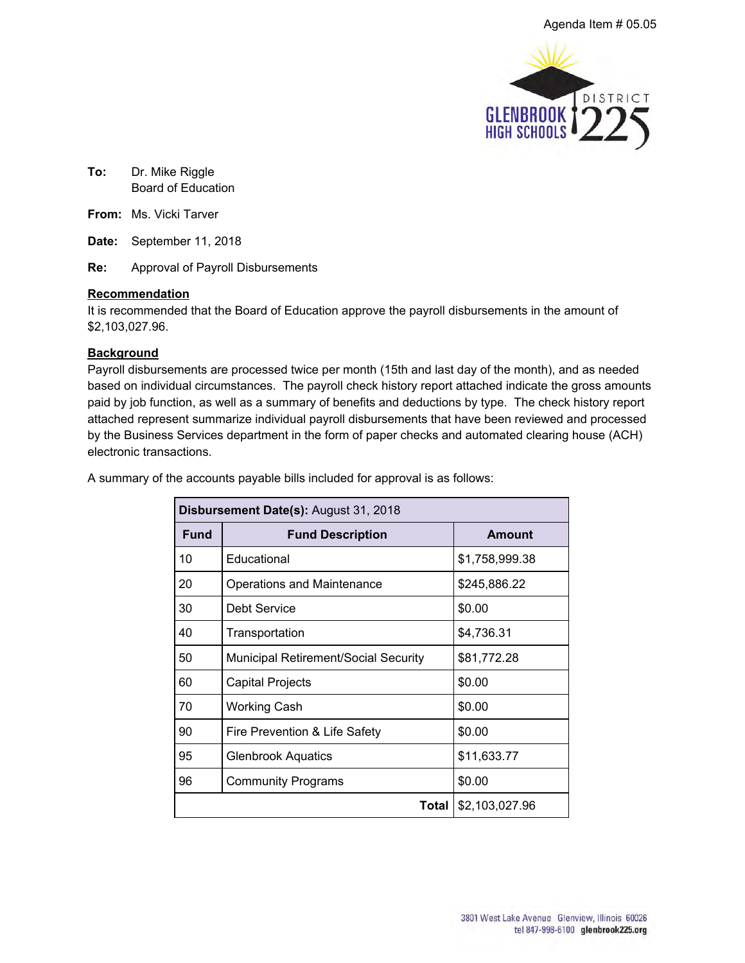

**To:** Dr. Mike Riggle Board of Education

**From:** Ms. Vicki Tarver

**Date:** September 11, 2018

**Re:** Approval of Payroll Disbursements

#### **Recommendation**

It is recommended that the Board of Education approve the payroll disbursements in the amount of \$2,103,027.96.

#### **Background**

Payroll disbursements are processed twice per month (15th and last day of the month), and as needed based on individual circumstances. The payroll check history report attached indicate the gross amounts paid by job function, as well as a summary of benefits and deductions by type. The check history report attached represent summarize individual payroll disbursements that have been reviewed and processed by the Business Services department in the form of paper checks and automated clearing house (ACH) electronic transactions.

| Disbursement Date(s): August 31, 2018 |                                             |                |  |  |  |  |  |
|---------------------------------------|---------------------------------------------|----------------|--|--|--|--|--|
| <b>Fund</b>                           | <b>Fund Description</b>                     | <b>Amount</b>  |  |  |  |  |  |
| 10                                    | Educational                                 | \$1,758,999.38 |  |  |  |  |  |
| 20                                    | <b>Operations and Maintenance</b>           | \$245,886.22   |  |  |  |  |  |
| 30                                    | Debt Service                                | \$0.00         |  |  |  |  |  |
| 40                                    | Transportation                              | \$4,736.31     |  |  |  |  |  |
| 50                                    | <b>Municipal Retirement/Social Security</b> | \$81,772.28    |  |  |  |  |  |
| 60                                    | Capital Projects                            | \$0.00         |  |  |  |  |  |
| 70                                    | <b>Working Cash</b>                         | \$0.00         |  |  |  |  |  |
| 90                                    | Fire Prevention & Life Safety               | \$0.00         |  |  |  |  |  |
| 95                                    | <b>Glenbrook Aquatics</b>                   | \$11,633.77    |  |  |  |  |  |
| 96                                    | <b>Community Programs</b>                   | \$0.00         |  |  |  |  |  |
|                                       | Total I                                     | \$2,103,027.96 |  |  |  |  |  |

A summary of the accounts payable bills included for approval is as follows: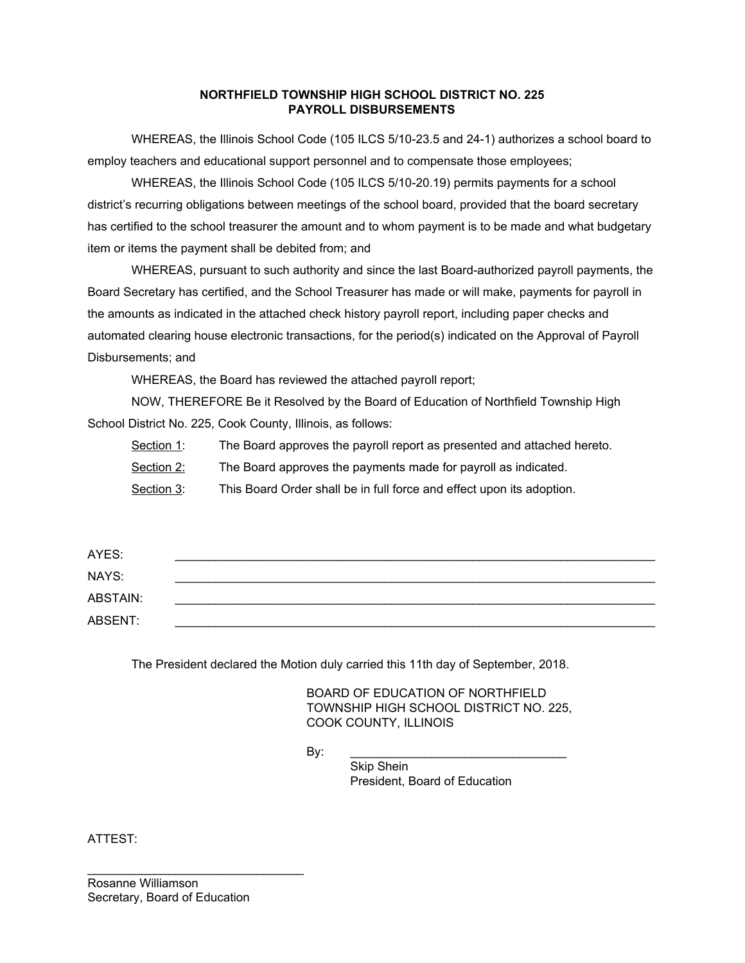#### **NORTHFIELD TOWNSHIP HIGH SCHOOL DISTRICT NO. 225 PAYROLL DISBURSEMENTS**

WHEREAS, the Illinois School Code (105 ILCS 5/10-23.5 and 24-1) authorizes a school board to employ teachers and educational support personnel and to compensate those employees;

WHEREAS, the Illinois School Code (105 ILCS 5/10-20.19) permits payments for a school district's recurring obligations between meetings of the school board, provided that the board secretary has certified to the school treasurer the amount and to whom payment is to be made and what budgetary item or items the payment shall be debited from; and

WHEREAS, pursuant to such authority and since the last Board-authorized payroll payments, the Board Secretary has certified, and the School Treasurer has made or will make, payments for payroll in the amounts as indicated in the attached check history payroll report, including paper checks and automated clearing house electronic transactions, for the period(s) indicated on the Approval of Payroll Disbursements; and

WHEREAS, the Board has reviewed the attached payroll report;

NOW, THEREFORE Be it Resolved by the Board of Education of Northfield Township High School District No. 225, Cook County, Illinois, as follows:

Section 1: The Board approves the payroll report as presented and attached hereto.

Section 2: The Board approves the payments made for payroll as indicated.

Section 3: This Board Order shall be in full force and effect upon its adoption.

| AYES:    |  |
|----------|--|
| NAYS:    |  |
| ABSTAIN: |  |
| ABSENT:  |  |

The President declared the Motion duly carried this 11th day of September, 2018.

BOARD OF EDUCATION OF NORTHFIELD TOWNSHIP HIGH SCHOOL DISTRICT NO. 225, COOK COUNTY, ILLINOIS

By: \_\_\_\_\_\_\_\_\_\_\_\_\_\_\_\_\_\_\_\_\_\_\_\_\_\_\_\_\_\_\_\_

Skip Shein President, Board of Education

ATTEST:

Rosanne Williamson Secretary, Board of Education

\_\_\_\_\_\_\_\_\_\_\_\_\_\_\_\_\_\_\_\_\_\_\_\_\_\_\_\_\_\_\_\_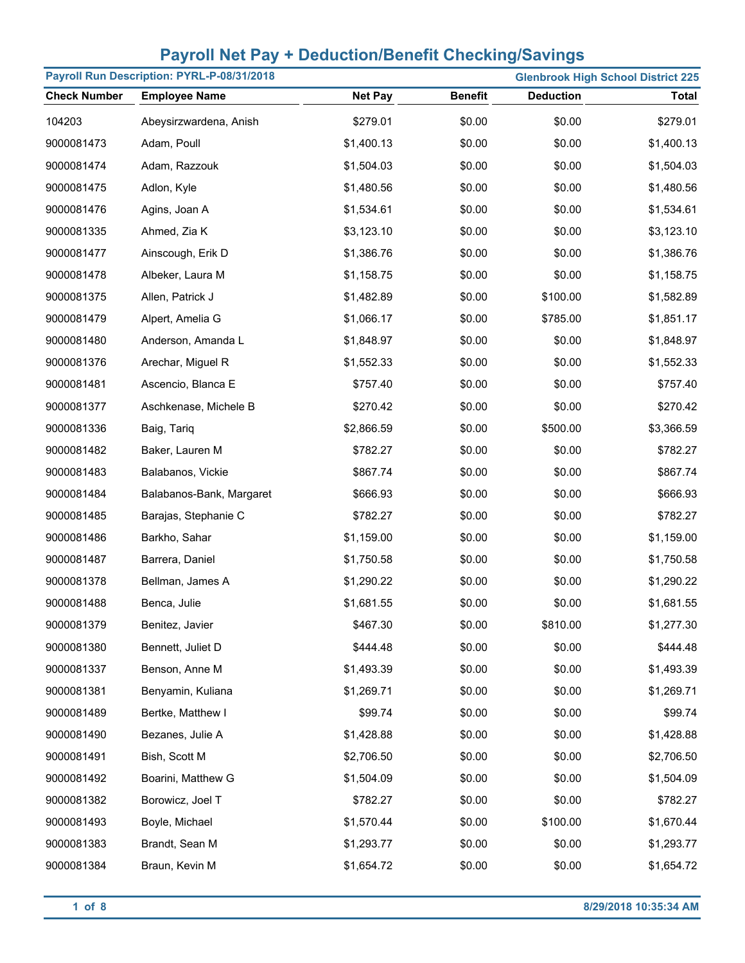|                     | Payroll Run Description: PYRL-P-08/31/2018 |                |                | <b>Glenbrook High School District 225</b> |              |
|---------------------|--------------------------------------------|----------------|----------------|-------------------------------------------|--------------|
| <b>Check Number</b> | <b>Employee Name</b>                       | <b>Net Pay</b> | <b>Benefit</b> | <b>Deduction</b>                          | <b>Total</b> |
| 104203              | Abeysirzwardena, Anish                     | \$279.01       | \$0.00         | \$0.00                                    | \$279.01     |
| 9000081473          | Adam, Poull                                | \$1,400.13     | \$0.00         | \$0.00                                    | \$1,400.13   |
| 9000081474          | Adam, Razzouk                              | \$1,504.03     | \$0.00         | \$0.00                                    | \$1,504.03   |
| 9000081475          | Adlon, Kyle                                | \$1,480.56     | \$0.00         | \$0.00                                    | \$1,480.56   |
| 9000081476          | Agins, Joan A                              | \$1,534.61     | \$0.00         | \$0.00                                    | \$1,534.61   |
| 9000081335          | Ahmed, Zia K                               | \$3,123.10     | \$0.00         | \$0.00                                    | \$3,123.10   |
| 9000081477          | Ainscough, Erik D                          | \$1,386.76     | \$0.00         | \$0.00                                    | \$1,386.76   |
| 9000081478          | Albeker, Laura M                           | \$1,158.75     | \$0.00         | \$0.00                                    | \$1,158.75   |
| 9000081375          | Allen, Patrick J                           | \$1,482.89     | \$0.00         | \$100.00                                  | \$1,582.89   |
| 9000081479          | Alpert, Amelia G                           | \$1,066.17     | \$0.00         | \$785.00                                  | \$1,851.17   |
| 9000081480          | Anderson, Amanda L                         | \$1,848.97     | \$0.00         | \$0.00                                    | \$1,848.97   |
| 9000081376          | Arechar, Miguel R                          | \$1,552.33     | \$0.00         | \$0.00                                    | \$1,552.33   |
| 9000081481          | Ascencio, Blanca E                         | \$757.40       | \$0.00         | \$0.00                                    | \$757.40     |
| 9000081377          | Aschkenase, Michele B                      | \$270.42       | \$0.00         | \$0.00                                    | \$270.42     |
| 9000081336          | Baig, Tariq                                | \$2,866.59     | \$0.00         | \$500.00                                  | \$3,366.59   |
| 9000081482          | Baker, Lauren M                            | \$782.27       | \$0.00         | \$0.00                                    | \$782.27     |
| 9000081483          | Balabanos, Vickie                          | \$867.74       | \$0.00         | \$0.00                                    | \$867.74     |
| 9000081484          | Balabanos-Bank, Margaret                   | \$666.93       | \$0.00         | \$0.00                                    | \$666.93     |
| 9000081485          | Barajas, Stephanie C                       | \$782.27       | \$0.00         | \$0.00                                    | \$782.27     |
| 9000081486          | Barkho, Sahar                              | \$1,159.00     | \$0.00         | \$0.00                                    | \$1,159.00   |
| 9000081487          | Barrera, Daniel                            | \$1,750.58     | \$0.00         | \$0.00                                    | \$1,750.58   |
| 9000081378          | Bellman, James A                           | \$1,290.22     | \$0.00         | \$0.00                                    | \$1,290.22   |
| 9000081488          | Benca, Julie                               | \$1,681.55     | \$0.00         | \$0.00                                    | \$1,681.55   |
| 9000081379          | Benitez, Javier                            | \$467.30       | \$0.00         | \$810.00                                  | \$1,277.30   |
| 9000081380          | Bennett, Juliet D                          | \$444.48       | \$0.00         | \$0.00                                    | \$444.48     |
| 9000081337          | Benson, Anne M                             | \$1,493.39     | \$0.00         | \$0.00                                    | \$1,493.39   |
| 9000081381          | Benyamin, Kuliana                          | \$1,269.71     | \$0.00         | \$0.00                                    | \$1,269.71   |
| 9000081489          | Bertke, Matthew I                          | \$99.74        | \$0.00         | \$0.00                                    | \$99.74      |
| 9000081490          | Bezanes, Julie A                           | \$1,428.88     | \$0.00         | \$0.00                                    | \$1,428.88   |
| 9000081491          | Bish, Scott M                              | \$2,706.50     | \$0.00         | \$0.00                                    | \$2,706.50   |
| 9000081492          | Boarini, Matthew G                         | \$1,504.09     | \$0.00         | \$0.00                                    | \$1,504.09   |
| 9000081382          | Borowicz, Joel T                           | \$782.27       | \$0.00         | \$0.00                                    | \$782.27     |
| 9000081493          | Boyle, Michael                             | \$1,570.44     | \$0.00         | \$100.00                                  | \$1,670.44   |
| 9000081383          | Brandt, Sean M                             | \$1,293.77     | \$0.00         | \$0.00                                    | \$1,293.77   |
| 9000081384          | Braun, Kevin M                             | \$1,654.72     | \$0.00         | \$0.00                                    | \$1,654.72   |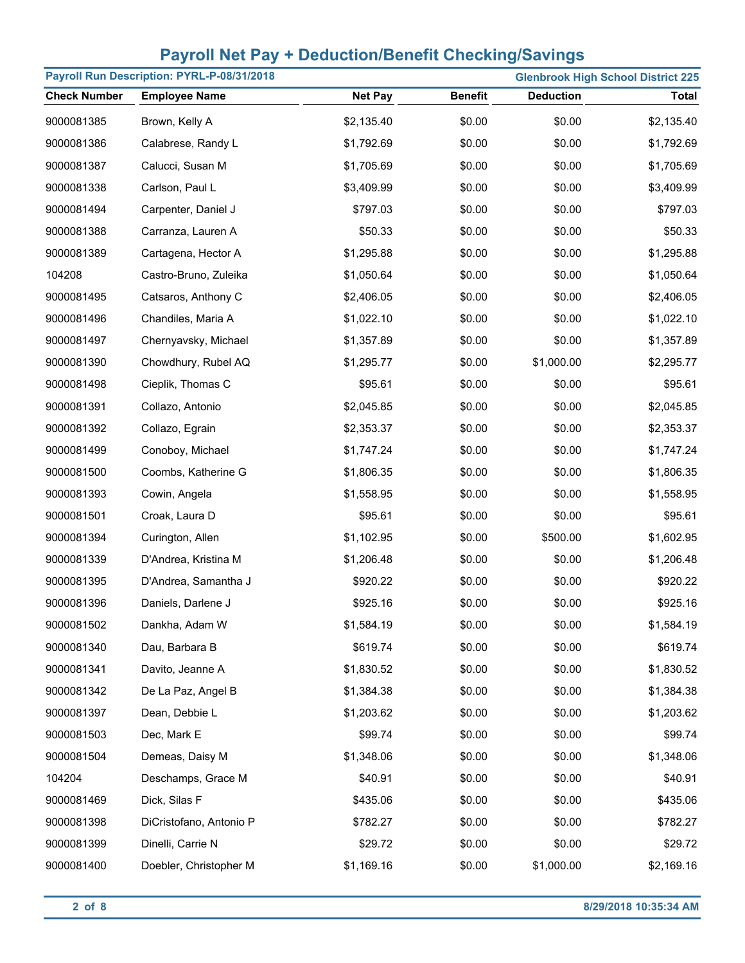|                     | Payroll Run Description: PYRL-P-08/31/2018 |                | <b>Glenbrook High School District 225</b> |                  |              |
|---------------------|--------------------------------------------|----------------|-------------------------------------------|------------------|--------------|
| <b>Check Number</b> | <b>Employee Name</b>                       | <b>Net Pay</b> | <b>Benefit</b>                            | <b>Deduction</b> | <b>Total</b> |
| 9000081385          | Brown, Kelly A                             | \$2,135.40     | \$0.00                                    | \$0.00           | \$2,135.40   |
| 9000081386          | Calabrese, Randy L                         | \$1,792.69     | \$0.00                                    | \$0.00           | \$1,792.69   |
| 9000081387          | Calucci, Susan M                           | \$1,705.69     | \$0.00                                    | \$0.00           | \$1,705.69   |
| 9000081338          | Carlson, Paul L                            | \$3,409.99     | \$0.00                                    | \$0.00           | \$3,409.99   |
| 9000081494          | Carpenter, Daniel J                        | \$797.03       | \$0.00                                    | \$0.00           | \$797.03     |
| 9000081388          | Carranza, Lauren A                         | \$50.33        | \$0.00                                    | \$0.00           | \$50.33      |
| 9000081389          | Cartagena, Hector A                        | \$1,295.88     | \$0.00                                    | \$0.00           | \$1,295.88   |
| 104208              | Castro-Bruno, Zuleika                      | \$1,050.64     | \$0.00                                    | \$0.00           | \$1,050.64   |
| 9000081495          | Catsaros, Anthony C                        | \$2,406.05     | \$0.00                                    | \$0.00           | \$2,406.05   |
| 9000081496          | Chandiles, Maria A                         | \$1,022.10     | \$0.00                                    | \$0.00           | \$1,022.10   |
| 9000081497          | Chernyavsky, Michael                       | \$1,357.89     | \$0.00                                    | \$0.00           | \$1,357.89   |
| 9000081390          | Chowdhury, Rubel AQ                        | \$1,295.77     | \$0.00                                    | \$1,000.00       | \$2,295.77   |
| 9000081498          | Cieplik, Thomas C                          | \$95.61        | \$0.00                                    | \$0.00           | \$95.61      |
| 9000081391          | Collazo, Antonio                           | \$2,045.85     | \$0.00                                    | \$0.00           | \$2,045.85   |
| 9000081392          | Collazo, Egrain                            | \$2,353.37     | \$0.00                                    | \$0.00           | \$2,353.37   |
| 9000081499          | Conoboy, Michael                           | \$1,747.24     | \$0.00                                    | \$0.00           | \$1,747.24   |
| 9000081500          | Coombs, Katherine G                        | \$1,806.35     | \$0.00                                    | \$0.00           | \$1,806.35   |
| 9000081393          | Cowin, Angela                              | \$1,558.95     | \$0.00                                    | \$0.00           | \$1,558.95   |
| 9000081501          | Croak, Laura D                             | \$95.61        | \$0.00                                    | \$0.00           | \$95.61      |
| 9000081394          | Curington, Allen                           | \$1,102.95     | \$0.00                                    | \$500.00         | \$1,602.95   |
| 9000081339          | D'Andrea, Kristina M                       | \$1,206.48     | \$0.00                                    | \$0.00           | \$1,206.48   |
| 9000081395          | D'Andrea, Samantha J                       | \$920.22       | \$0.00                                    | \$0.00           | \$920.22     |
| 9000081396          | Daniels, Darlene J                         | \$925.16       | \$0.00                                    | \$0.00           | \$925.16     |
| 9000081502          | Dankha, Adam W                             | \$1,584.19     | \$0.00                                    | \$0.00           | \$1,584.19   |
| 9000081340          | Dau, Barbara B                             | \$619.74       | \$0.00                                    | \$0.00           | \$619.74     |
| 9000081341          | Davito, Jeanne A                           | \$1,830.52     | \$0.00                                    | \$0.00           | \$1,830.52   |
| 9000081342          | De La Paz, Angel B                         | \$1,384.38     | \$0.00                                    | \$0.00           | \$1,384.38   |
| 9000081397          | Dean, Debbie L                             | \$1,203.62     | \$0.00                                    | \$0.00           | \$1,203.62   |
| 9000081503          | Dec, Mark E                                | \$99.74        | \$0.00                                    | \$0.00           | \$99.74      |
| 9000081504          | Demeas, Daisy M                            | \$1,348.06     | \$0.00                                    | \$0.00           | \$1,348.06   |
| 104204              | Deschamps, Grace M                         | \$40.91        | \$0.00                                    | \$0.00           | \$40.91      |
| 9000081469          | Dick, Silas F                              | \$435.06       | \$0.00                                    | \$0.00           | \$435.06     |
| 9000081398          | DiCristofano, Antonio P                    | \$782.27       | \$0.00                                    | \$0.00           | \$782.27     |
| 9000081399          | Dinelli, Carrie N                          | \$29.72        | \$0.00                                    | \$0.00           | \$29.72      |
| 9000081400          | Doebler, Christopher M                     | \$1,169.16     | \$0.00                                    | \$1,000.00       | \$2,169.16   |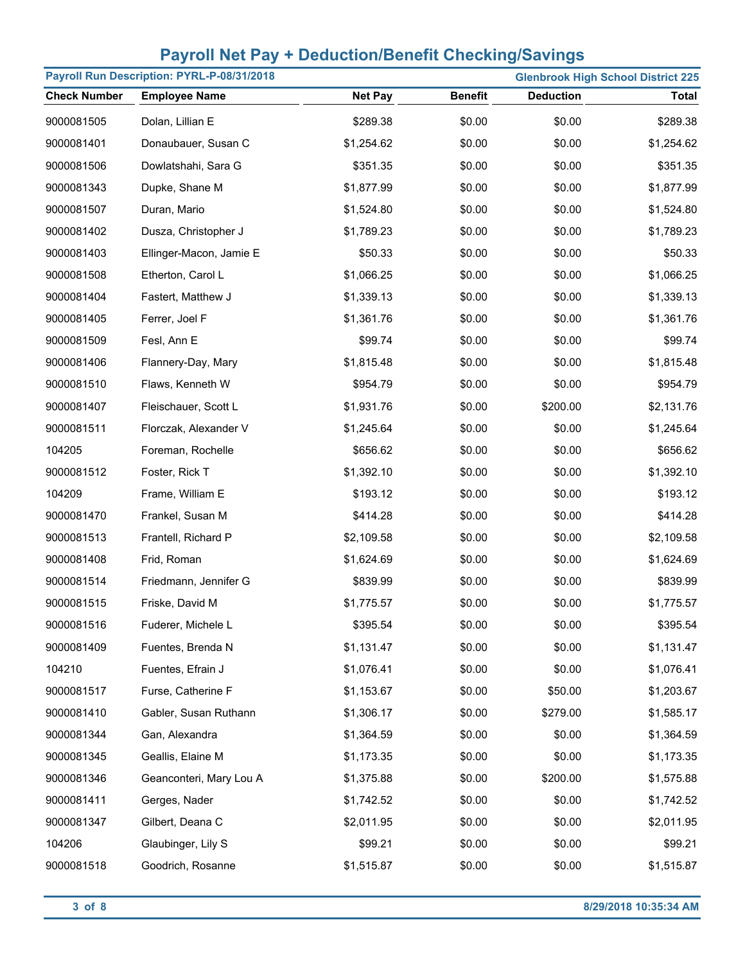| Payroll Run Description: PYRL-P-08/31/2018 |                         | <b>Glenbrook High School District 225</b> |                |                  |              |
|--------------------------------------------|-------------------------|-------------------------------------------|----------------|------------------|--------------|
| <b>Check Number</b>                        | <b>Employee Name</b>    | <b>Net Pay</b>                            | <b>Benefit</b> | <b>Deduction</b> | <b>Total</b> |
| 9000081505                                 | Dolan, Lillian E        | \$289.38                                  | \$0.00         | \$0.00           | \$289.38     |
| 9000081401                                 | Donaubauer, Susan C     | \$1,254.62                                | \$0.00         | \$0.00           | \$1,254.62   |
| 9000081506                                 | Dowlatshahi, Sara G     | \$351.35                                  | \$0.00         | \$0.00           | \$351.35     |
| 9000081343                                 | Dupke, Shane M          | \$1,877.99                                | \$0.00         | \$0.00           | \$1,877.99   |
| 9000081507                                 | Duran, Mario            | \$1,524.80                                | \$0.00         | \$0.00           | \$1,524.80   |
| 9000081402                                 | Dusza, Christopher J    | \$1,789.23                                | \$0.00         | \$0.00           | \$1,789.23   |
| 9000081403                                 | Ellinger-Macon, Jamie E | \$50.33                                   | \$0.00         | \$0.00           | \$50.33      |
| 9000081508                                 | Etherton, Carol L       | \$1,066.25                                | \$0.00         | \$0.00           | \$1,066.25   |
| 9000081404                                 | Fastert, Matthew J      | \$1,339.13                                | \$0.00         | \$0.00           | \$1,339.13   |
| 9000081405                                 | Ferrer, Joel F          | \$1,361.76                                | \$0.00         | \$0.00           | \$1,361.76   |
| 9000081509                                 | Fesl, Ann E             | \$99.74                                   | \$0.00         | \$0.00           | \$99.74      |
| 9000081406                                 | Flannery-Day, Mary      | \$1,815.48                                | \$0.00         | \$0.00           | \$1,815.48   |
| 9000081510                                 | Flaws, Kenneth W        | \$954.79                                  | \$0.00         | \$0.00           | \$954.79     |
| 9000081407                                 | Fleischauer, Scott L    | \$1,931.76                                | \$0.00         | \$200.00         | \$2,131.76   |
| 9000081511                                 | Florczak, Alexander V   | \$1,245.64                                | \$0.00         | \$0.00           | \$1,245.64   |
| 104205                                     | Foreman, Rochelle       | \$656.62                                  | \$0.00         | \$0.00           | \$656.62     |
| 9000081512                                 | Foster, Rick T          | \$1,392.10                                | \$0.00         | \$0.00           | \$1,392.10   |
| 104209                                     | Frame, William E        | \$193.12                                  | \$0.00         | \$0.00           | \$193.12     |
| 9000081470                                 | Frankel, Susan M        | \$414.28                                  | \$0.00         | \$0.00           | \$414.28     |
| 9000081513                                 | Frantell, Richard P     | \$2,109.58                                | \$0.00         | \$0.00           | \$2,109.58   |
| 9000081408                                 | Frid, Roman             | \$1,624.69                                | \$0.00         | \$0.00           | \$1,624.69   |
| 9000081514                                 | Friedmann, Jennifer G   | \$839.99                                  | \$0.00         | \$0.00           | \$839.99     |
| 9000081515                                 | Friske, David M         | \$1,775.57                                | \$0.00         | \$0.00           | \$1,775.57   |
| 9000081516                                 | Fuderer, Michele L      | \$395.54                                  | \$0.00         | \$0.00           | \$395.54     |
| 9000081409                                 | Fuentes, Brenda N       | \$1,131.47                                | \$0.00         | \$0.00           | \$1,131.47   |
| 104210                                     | Fuentes, Efrain J       | \$1,076.41                                | \$0.00         | \$0.00           | \$1,076.41   |
| 9000081517                                 | Furse, Catherine F      | \$1,153.67                                | \$0.00         | \$50.00          | \$1,203.67   |
| 9000081410                                 | Gabler, Susan Ruthann   | \$1,306.17                                | \$0.00         | \$279.00         | \$1,585.17   |
| 9000081344                                 | Gan, Alexandra          | \$1,364.59                                | \$0.00         | \$0.00           | \$1,364.59   |
| 9000081345                                 | Geallis, Elaine M       | \$1,173.35                                | \$0.00         | \$0.00           | \$1,173.35   |
| 9000081346                                 | Geanconteri, Mary Lou A | \$1,375.88                                | \$0.00         | \$200.00         | \$1,575.88   |
| 9000081411                                 | Gerges, Nader           | \$1,742.52                                | \$0.00         | \$0.00           | \$1,742.52   |
| 9000081347                                 | Gilbert, Deana C        | \$2,011.95                                | \$0.00         | \$0.00           | \$2,011.95   |
| 104206                                     | Glaubinger, Lily S      | \$99.21                                   | \$0.00         | \$0.00           | \$99.21      |
| 9000081518                                 | Goodrich, Rosanne       | \$1,515.87                                | \$0.00         | \$0.00           | \$1,515.87   |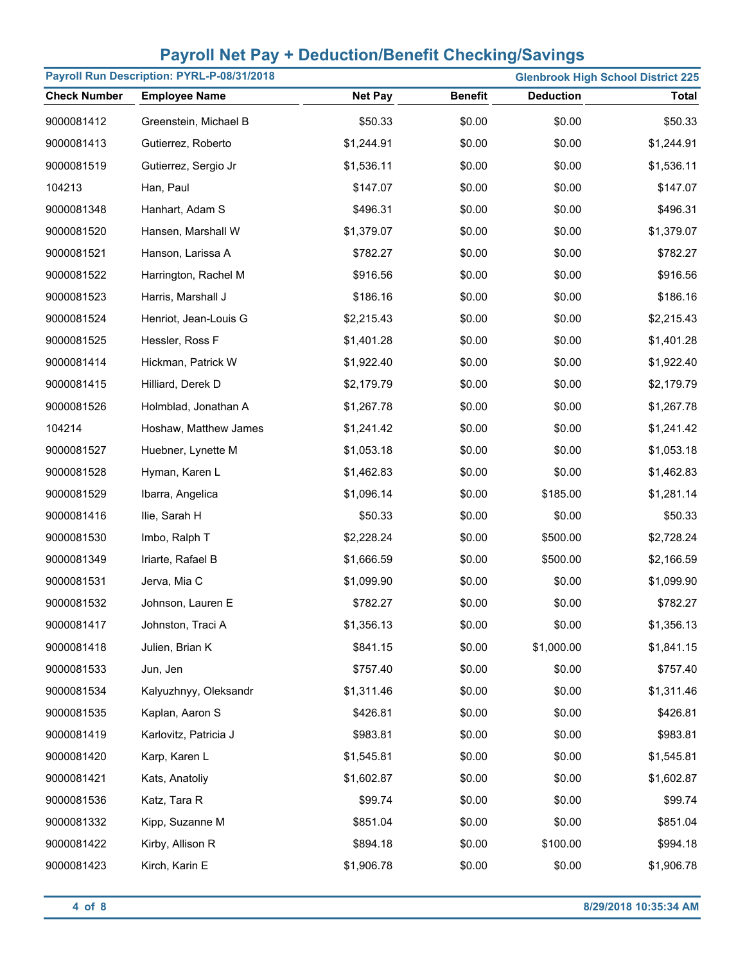| Payroll Run Description: PYRL-P-08/31/2018 | <b>Glenbrook High School District 225</b> |                |                |                  |              |
|--------------------------------------------|-------------------------------------------|----------------|----------------|------------------|--------------|
| <b>Check Number</b>                        | <b>Employee Name</b>                      | <b>Net Pay</b> | <b>Benefit</b> | <b>Deduction</b> | <b>Total</b> |
| 9000081412                                 | Greenstein, Michael B                     | \$50.33        | \$0.00         | \$0.00           | \$50.33      |
| 9000081413                                 | Gutierrez, Roberto                        | \$1,244.91     | \$0.00         | \$0.00           | \$1,244.91   |
| 9000081519                                 | Gutierrez, Sergio Jr                      | \$1,536.11     | \$0.00         | \$0.00           | \$1,536.11   |
| 104213                                     | Han, Paul                                 | \$147.07       | \$0.00         | \$0.00           | \$147.07     |
| 9000081348                                 | Hanhart, Adam S                           | \$496.31       | \$0.00         | \$0.00           | \$496.31     |
| 9000081520                                 | Hansen, Marshall W                        | \$1,379.07     | \$0.00         | \$0.00           | \$1,379.07   |
| 9000081521                                 | Hanson, Larissa A                         | \$782.27       | \$0.00         | \$0.00           | \$782.27     |
| 9000081522                                 | Harrington, Rachel M                      | \$916.56       | \$0.00         | \$0.00           | \$916.56     |
| 9000081523                                 | Harris, Marshall J                        | \$186.16       | \$0.00         | \$0.00           | \$186.16     |
| 9000081524                                 | Henriot, Jean-Louis G                     | \$2,215.43     | \$0.00         | \$0.00           | \$2,215.43   |
| 9000081525                                 | Hessler, Ross F                           | \$1,401.28     | \$0.00         | \$0.00           | \$1,401.28   |
| 9000081414                                 | Hickman, Patrick W                        | \$1,922.40     | \$0.00         | \$0.00           | \$1,922.40   |
| 9000081415                                 | Hilliard, Derek D                         | \$2,179.79     | \$0.00         | \$0.00           | \$2,179.79   |
| 9000081526                                 | Holmblad, Jonathan A                      | \$1,267.78     | \$0.00         | \$0.00           | \$1,267.78   |
| 104214                                     | Hoshaw, Matthew James                     | \$1,241.42     | \$0.00         | \$0.00           | \$1,241.42   |
| 9000081527                                 | Huebner, Lynette M                        | \$1,053.18     | \$0.00         | \$0.00           | \$1,053.18   |
| 9000081528                                 | Hyman, Karen L                            | \$1,462.83     | \$0.00         | \$0.00           | \$1,462.83   |
| 9000081529                                 | Ibarra, Angelica                          | \$1,096.14     | \$0.00         | \$185.00         | \$1,281.14   |
| 9000081416                                 | Ilie, Sarah H                             | \$50.33        | \$0.00         | \$0.00           | \$50.33      |
| 9000081530                                 | Imbo, Ralph T                             | \$2,228.24     | \$0.00         | \$500.00         | \$2,728.24   |
| 9000081349                                 | Iriarte, Rafael B                         | \$1,666.59     | \$0.00         | \$500.00         | \$2,166.59   |
| 9000081531                                 | Jerva, Mia C                              | \$1,099.90     | \$0.00         | \$0.00           | \$1,099.90   |
| 9000081532                                 | Johnson, Lauren E                         | \$782.27       | \$0.00         | \$0.00           | \$782.27     |
| 9000081417                                 | Johnston, Traci A                         | \$1,356.13     | \$0.00         | \$0.00           | \$1,356.13   |
| 9000081418                                 | Julien, Brian K                           | \$841.15       | \$0.00         | \$1,000.00       | \$1,841.15   |
| 9000081533                                 | Jun, Jen                                  | \$757.40       | \$0.00         | \$0.00           | \$757.40     |
| 9000081534                                 | Kalyuzhnyy, Oleksandr                     | \$1,311.46     | \$0.00         | \$0.00           | \$1,311.46   |
| 9000081535                                 | Kaplan, Aaron S                           | \$426.81       | \$0.00         | \$0.00           | \$426.81     |
| 9000081419                                 | Karlovitz, Patricia J                     | \$983.81       | \$0.00         | \$0.00           | \$983.81     |
| 9000081420                                 | Karp, Karen L                             | \$1,545.81     | \$0.00         | \$0.00           | \$1,545.81   |
| 9000081421                                 | Kats, Anatoliy                            | \$1,602.87     | \$0.00         | \$0.00           | \$1,602.87   |
| 9000081536                                 | Katz, Tara R                              | \$99.74        | \$0.00         | \$0.00           | \$99.74      |
| 9000081332                                 | Kipp, Suzanne M                           | \$851.04       | \$0.00         | \$0.00           | \$851.04     |
| 9000081422                                 | Kirby, Allison R                          | \$894.18       | \$0.00         | \$100.00         | \$994.18     |
| 9000081423                                 | Kirch, Karin E                            | \$1,906.78     | \$0.00         | \$0.00           | \$1,906.78   |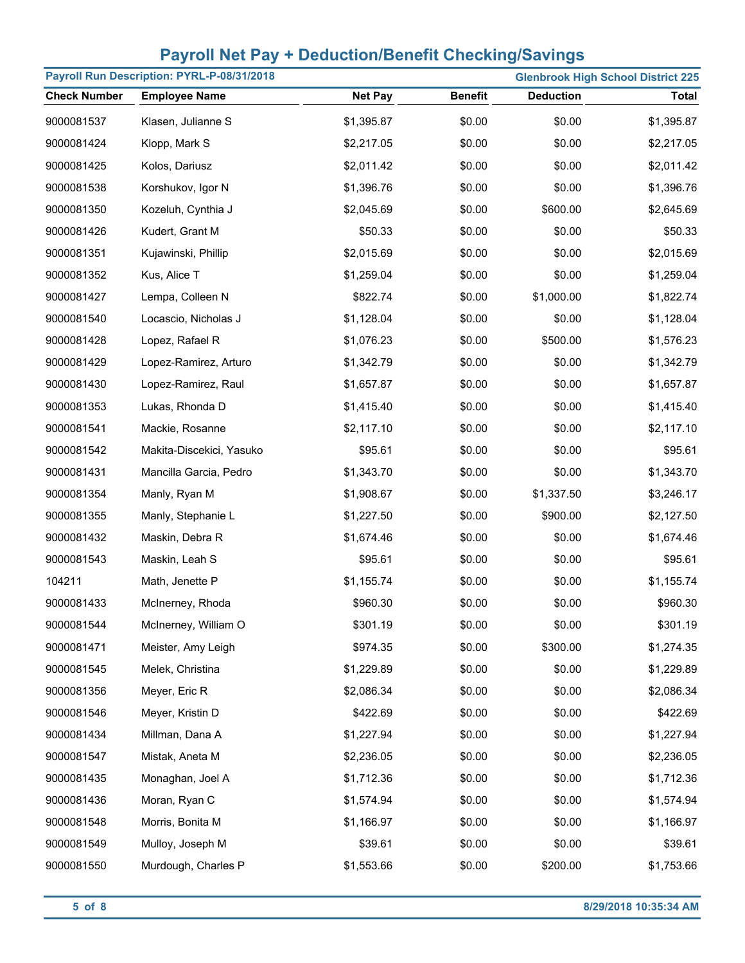|                     | Payroll Run Description: PYRL-P-08/31/2018 |                |                | <b>Glenbrook High School District 225</b> |              |
|---------------------|--------------------------------------------|----------------|----------------|-------------------------------------------|--------------|
| <b>Check Number</b> | <b>Employee Name</b>                       | <b>Net Pay</b> | <b>Benefit</b> | <b>Deduction</b>                          | <b>Total</b> |
| 9000081537          | Klasen, Julianne S                         | \$1,395.87     | \$0.00         | \$0.00                                    | \$1,395.87   |
| 9000081424          | Klopp, Mark S                              | \$2,217.05     | \$0.00         | \$0.00                                    | \$2,217.05   |
| 9000081425          | Kolos, Dariusz                             | \$2,011.42     | \$0.00         | \$0.00                                    | \$2,011.42   |
| 9000081538          | Korshukov, Igor N                          | \$1,396.76     | \$0.00         | \$0.00                                    | \$1,396.76   |
| 9000081350          | Kozeluh, Cynthia J                         | \$2,045.69     | \$0.00         | \$600.00                                  | \$2,645.69   |
| 9000081426          | Kudert, Grant M                            | \$50.33        | \$0.00         | \$0.00                                    | \$50.33      |
| 9000081351          | Kujawinski, Phillip                        | \$2,015.69     | \$0.00         | \$0.00                                    | \$2,015.69   |
| 9000081352          | Kus, Alice T                               | \$1,259.04     | \$0.00         | \$0.00                                    | \$1,259.04   |
| 9000081427          | Lempa, Colleen N                           | \$822.74       | \$0.00         | \$1,000.00                                | \$1,822.74   |
| 9000081540          | Locascio, Nicholas J                       | \$1,128.04     | \$0.00         | \$0.00                                    | \$1,128.04   |
| 9000081428          | Lopez, Rafael R                            | \$1,076.23     | \$0.00         | \$500.00                                  | \$1,576.23   |
| 9000081429          | Lopez-Ramirez, Arturo                      | \$1,342.79     | \$0.00         | \$0.00                                    | \$1,342.79   |
| 9000081430          | Lopez-Ramirez, Raul                        | \$1,657.87     | \$0.00         | \$0.00                                    | \$1,657.87   |
| 9000081353          | Lukas, Rhonda D                            | \$1,415.40     | \$0.00         | \$0.00                                    | \$1,415.40   |
| 9000081541          | Mackie, Rosanne                            | \$2,117.10     | \$0.00         | \$0.00                                    | \$2,117.10   |
| 9000081542          | Makita-Discekici, Yasuko                   | \$95.61        | \$0.00         | \$0.00                                    | \$95.61      |
| 9000081431          | Mancilla Garcia, Pedro                     | \$1,343.70     | \$0.00         | \$0.00                                    | \$1,343.70   |
| 9000081354          | Manly, Ryan M                              | \$1,908.67     | \$0.00         | \$1,337.50                                | \$3,246.17   |
| 9000081355          | Manly, Stephanie L                         | \$1,227.50     | \$0.00         | \$900.00                                  | \$2,127.50   |
| 9000081432          | Maskin, Debra R                            | \$1,674.46     | \$0.00         | \$0.00                                    | \$1,674.46   |
| 9000081543          | Maskin, Leah S                             | \$95.61        | \$0.00         | \$0.00                                    | \$95.61      |
| 104211              | Math, Jenette P                            | \$1,155.74     | \$0.00         | \$0.00                                    | \$1,155.74   |
| 9000081433          | McInerney, Rhoda                           | \$960.30       | \$0.00         | \$0.00                                    | \$960.30     |
| 9000081544          | McInerney, William O                       | \$301.19       | \$0.00         | \$0.00                                    | \$301.19     |
| 9000081471          | Meister, Amy Leigh                         | \$974.35       | \$0.00         | \$300.00                                  | \$1,274.35   |
| 9000081545          | Melek, Christina                           | \$1,229.89     | \$0.00         | \$0.00                                    | \$1,229.89   |
| 9000081356          | Meyer, Eric R                              | \$2,086.34     | \$0.00         | \$0.00                                    | \$2,086.34   |
| 9000081546          | Meyer, Kristin D                           | \$422.69       | \$0.00         | \$0.00                                    | \$422.69     |
| 9000081434          | Millman, Dana A                            | \$1,227.94     | \$0.00         | \$0.00                                    | \$1,227.94   |
| 9000081547          | Mistak, Aneta M                            | \$2,236.05     | \$0.00         | \$0.00                                    | \$2,236.05   |
| 9000081435          | Monaghan, Joel A                           | \$1,712.36     | \$0.00         | \$0.00                                    | \$1,712.36   |
| 9000081436          | Moran, Ryan C                              | \$1,574.94     | \$0.00         | \$0.00                                    | \$1,574.94   |
| 9000081548          | Morris, Bonita M                           | \$1,166.97     | \$0.00         | \$0.00                                    | \$1,166.97   |
| 9000081549          | Mulloy, Joseph M                           | \$39.61        | \$0.00         | \$0.00                                    | \$39.61      |
| 9000081550          | Murdough, Charles P                        | \$1,553.66     | \$0.00         | \$200.00                                  | \$1,753.66   |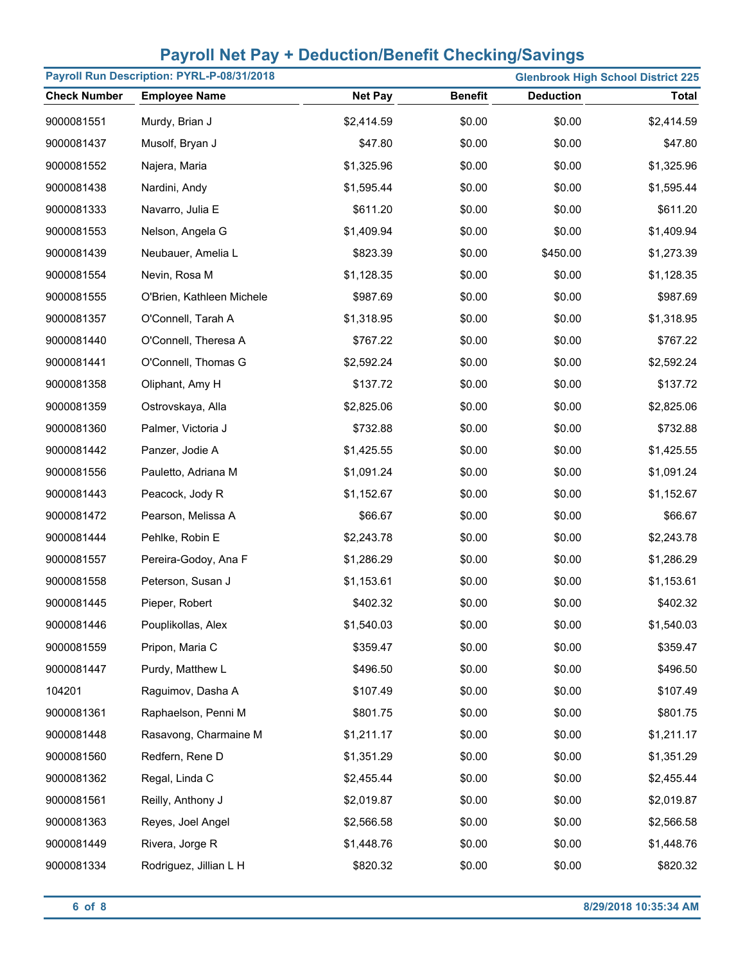| Payroll Run Description: PYRL-P-08/31/2018<br><b>Glenbrook High School District 225</b> |                           |                |                |                  |              |
|-----------------------------------------------------------------------------------------|---------------------------|----------------|----------------|------------------|--------------|
| <b>Check Number</b>                                                                     | <b>Employee Name</b>      | <b>Net Pay</b> | <b>Benefit</b> | <b>Deduction</b> | <b>Total</b> |
| 9000081551                                                                              | Murdy, Brian J            | \$2,414.59     | \$0.00         | \$0.00           | \$2,414.59   |
| 9000081437                                                                              | Musolf, Bryan J           | \$47.80        | \$0.00         | \$0.00           | \$47.80      |
| 9000081552                                                                              | Najera, Maria             | \$1,325.96     | \$0.00         | \$0.00           | \$1,325.96   |
| 9000081438                                                                              | Nardini, Andy             | \$1,595.44     | \$0.00         | \$0.00           | \$1,595.44   |
| 9000081333                                                                              | Navarro, Julia E          | \$611.20       | \$0.00         | \$0.00           | \$611.20     |
| 9000081553                                                                              | Nelson, Angela G          | \$1,409.94     | \$0.00         | \$0.00           | \$1,409.94   |
| 9000081439                                                                              | Neubauer, Amelia L        | \$823.39       | \$0.00         | \$450.00         | \$1,273.39   |
| 9000081554                                                                              | Nevin, Rosa M             | \$1,128.35     | \$0.00         | \$0.00           | \$1,128.35   |
| 9000081555                                                                              | O'Brien, Kathleen Michele | \$987.69       | \$0.00         | \$0.00           | \$987.69     |
| 9000081357                                                                              | O'Connell, Tarah A        | \$1,318.95     | \$0.00         | \$0.00           | \$1,318.95   |
| 9000081440                                                                              | O'Connell, Theresa A      | \$767.22       | \$0.00         | \$0.00           | \$767.22     |
| 9000081441                                                                              | O'Connell, Thomas G       | \$2,592.24     | \$0.00         | \$0.00           | \$2,592.24   |
| 9000081358                                                                              | Oliphant, Amy H           | \$137.72       | \$0.00         | \$0.00           | \$137.72     |
| 9000081359                                                                              | Ostrovskaya, Alla         | \$2,825.06     | \$0.00         | \$0.00           | \$2,825.06   |
| 9000081360                                                                              | Palmer, Victoria J        | \$732.88       | \$0.00         | \$0.00           | \$732.88     |
| 9000081442                                                                              | Panzer, Jodie A           | \$1,425.55     | \$0.00         | \$0.00           | \$1,425.55   |
| 9000081556                                                                              | Pauletto, Adriana M       | \$1,091.24     | \$0.00         | \$0.00           | \$1,091.24   |
| 9000081443                                                                              | Peacock, Jody R           | \$1,152.67     | \$0.00         | \$0.00           | \$1,152.67   |
| 9000081472                                                                              | Pearson, Melissa A        | \$66.67        | \$0.00         | \$0.00           | \$66.67      |
| 9000081444                                                                              | Pehlke, Robin E           | \$2,243.78     | \$0.00         | \$0.00           | \$2,243.78   |
| 9000081557                                                                              | Pereira-Godoy, Ana F      | \$1,286.29     | \$0.00         | \$0.00           | \$1,286.29   |
| 9000081558                                                                              | Peterson, Susan J         | \$1,153.61     | \$0.00         | \$0.00           | \$1,153.61   |
| 9000081445                                                                              | Pieper, Robert            | \$402.32       | \$0.00         | \$0.00           | \$402.32     |
| 9000081446                                                                              | Pouplikollas, Alex        | \$1,540.03     | \$0.00         | \$0.00           | \$1,540.03   |
| 9000081559                                                                              | Pripon, Maria C           | \$359.47       | \$0.00         | \$0.00           | \$359.47     |
| 9000081447                                                                              | Purdy, Matthew L          | \$496.50       | \$0.00         | \$0.00           | \$496.50     |
| 104201                                                                                  | Raguimov, Dasha A         | \$107.49       | \$0.00         | \$0.00           | \$107.49     |
| 9000081361                                                                              | Raphaelson, Penni M       | \$801.75       | \$0.00         | \$0.00           | \$801.75     |
| 9000081448                                                                              | Rasavong, Charmaine M     | \$1,211.17     | \$0.00         | \$0.00           | \$1,211.17   |
| 9000081560                                                                              | Redfern, Rene D           | \$1,351.29     | \$0.00         | \$0.00           | \$1,351.29   |
| 9000081362                                                                              | Regal, Linda C            | \$2,455.44     | \$0.00         | \$0.00           | \$2,455.44   |
| 9000081561                                                                              | Reilly, Anthony J         | \$2,019.87     | \$0.00         | \$0.00           | \$2,019.87   |
| 9000081363                                                                              | Reyes, Joel Angel         | \$2,566.58     | \$0.00         | \$0.00           | \$2,566.58   |
| 9000081449                                                                              | Rivera, Jorge R           | \$1,448.76     | \$0.00         | \$0.00           | \$1,448.76   |
| 9000081334                                                                              | Rodriguez, Jillian L H    | \$820.32       | \$0.00         | \$0.00           | \$820.32     |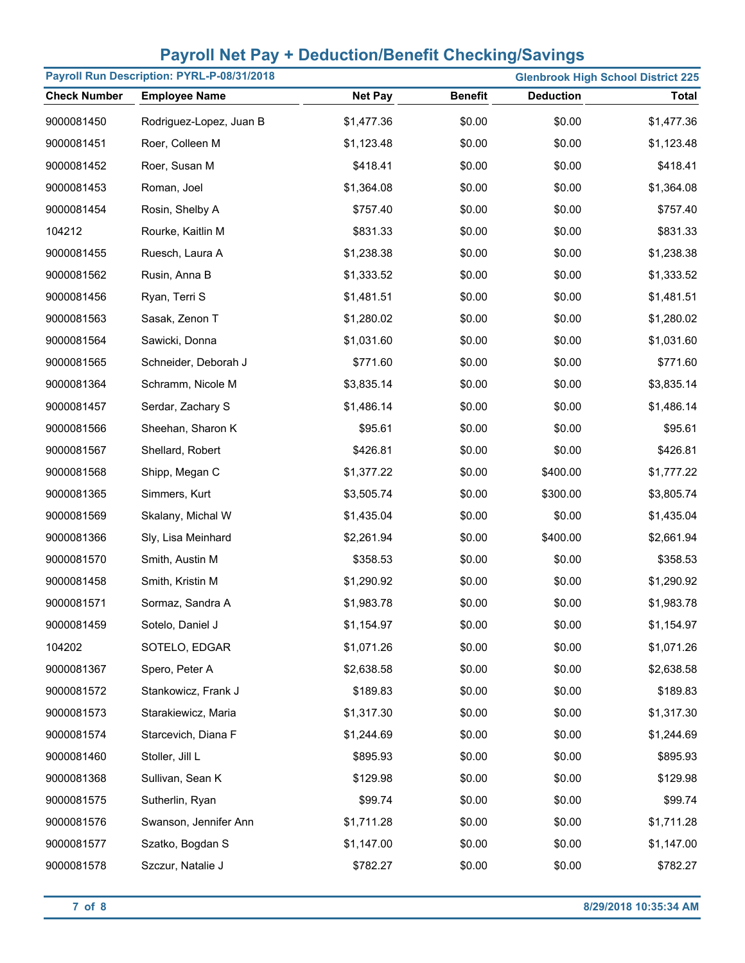|                     | Payroll Run Description: PYRL-P-08/31/2018 |                |                | <b>Glenbrook High School District 225</b> |              |
|---------------------|--------------------------------------------|----------------|----------------|-------------------------------------------|--------------|
| <b>Check Number</b> | <b>Employee Name</b>                       | <b>Net Pay</b> | <b>Benefit</b> | <b>Deduction</b>                          | <b>Total</b> |
| 9000081450          | Rodriguez-Lopez, Juan B                    | \$1,477.36     | \$0.00         | \$0.00                                    | \$1,477.36   |
| 9000081451          | Roer, Colleen M                            | \$1,123.48     | \$0.00         | \$0.00                                    | \$1,123.48   |
| 9000081452          | Roer, Susan M                              | \$418.41       | \$0.00         | \$0.00                                    | \$418.41     |
| 9000081453          | Roman, Joel                                | \$1,364.08     | \$0.00         | \$0.00                                    | \$1,364.08   |
| 9000081454          | Rosin, Shelby A                            | \$757.40       | \$0.00         | \$0.00                                    | \$757.40     |
| 104212              | Rourke, Kaitlin M                          | \$831.33       | \$0.00         | \$0.00                                    | \$831.33     |
| 9000081455          | Ruesch, Laura A                            | \$1,238.38     | \$0.00         | \$0.00                                    | \$1,238.38   |
| 9000081562          | Rusin, Anna B                              | \$1,333.52     | \$0.00         | \$0.00                                    | \$1,333.52   |
| 9000081456          | Ryan, Terri S                              | \$1,481.51     | \$0.00         | \$0.00                                    | \$1,481.51   |
| 9000081563          | Sasak, Zenon T                             | \$1,280.02     | \$0.00         | \$0.00                                    | \$1,280.02   |
| 9000081564          | Sawicki, Donna                             | \$1,031.60     | \$0.00         | \$0.00                                    | \$1,031.60   |
| 9000081565          | Schneider, Deborah J                       | \$771.60       | \$0.00         | \$0.00                                    | \$771.60     |
| 9000081364          | Schramm, Nicole M                          | \$3,835.14     | \$0.00         | \$0.00                                    | \$3,835.14   |
| 9000081457          | Serdar, Zachary S                          | \$1,486.14     | \$0.00         | \$0.00                                    | \$1,486.14   |
| 9000081566          | Sheehan, Sharon K                          | \$95.61        | \$0.00         | \$0.00                                    | \$95.61      |
| 9000081567          | Shellard, Robert                           | \$426.81       | \$0.00         | \$0.00                                    | \$426.81     |
| 9000081568          | Shipp, Megan C                             | \$1,377.22     | \$0.00         | \$400.00                                  | \$1,777.22   |
| 9000081365          | Simmers, Kurt                              | \$3,505.74     | \$0.00         | \$300.00                                  | \$3,805.74   |
| 9000081569          | Skalany, Michal W                          | \$1,435.04     | \$0.00         | \$0.00                                    | \$1,435.04   |
| 9000081366          | Sly, Lisa Meinhard                         | \$2,261.94     | \$0.00         | \$400.00                                  | \$2,661.94   |
| 9000081570          | Smith, Austin M                            | \$358.53       | \$0.00         | \$0.00                                    | \$358.53     |
| 9000081458          | Smith, Kristin M                           | \$1,290.92     | \$0.00         | \$0.00                                    | \$1,290.92   |
| 9000081571          | Sormaz, Sandra A                           | \$1,983.78     | \$0.00         | \$0.00                                    | \$1,983.78   |
| 9000081459          | Sotelo, Daniel J                           | \$1,154.97     | \$0.00         | \$0.00                                    | \$1,154.97   |
| 104202              | SOTELO, EDGAR                              | \$1,071.26     | \$0.00         | \$0.00                                    | \$1,071.26   |
| 9000081367          | Spero, Peter A                             | \$2,638.58     | \$0.00         | \$0.00                                    | \$2,638.58   |
| 9000081572          | Stankowicz, Frank J                        | \$189.83       | \$0.00         | \$0.00                                    | \$189.83     |
| 9000081573          | Starakiewicz, Maria                        | \$1,317.30     | \$0.00         | \$0.00                                    | \$1,317.30   |
| 9000081574          | Starcevich, Diana F                        | \$1,244.69     | \$0.00         | \$0.00                                    | \$1,244.69   |
| 9000081460          | Stoller, Jill L                            | \$895.93       | \$0.00         | \$0.00                                    | \$895.93     |
| 9000081368          | Sullivan, Sean K                           | \$129.98       | \$0.00         | \$0.00                                    | \$129.98     |
| 9000081575          | Sutherlin, Ryan                            | \$99.74        | \$0.00         | \$0.00                                    | \$99.74      |
| 9000081576          | Swanson, Jennifer Ann                      | \$1,711.28     | \$0.00         | \$0.00                                    | \$1,711.28   |
| 9000081577          | Szatko, Bogdan S                           | \$1,147.00     | \$0.00         | \$0.00                                    | \$1,147.00   |
| 9000081578          | Szczur, Natalie J                          | \$782.27       | \$0.00         | \$0.00                                    | \$782.27     |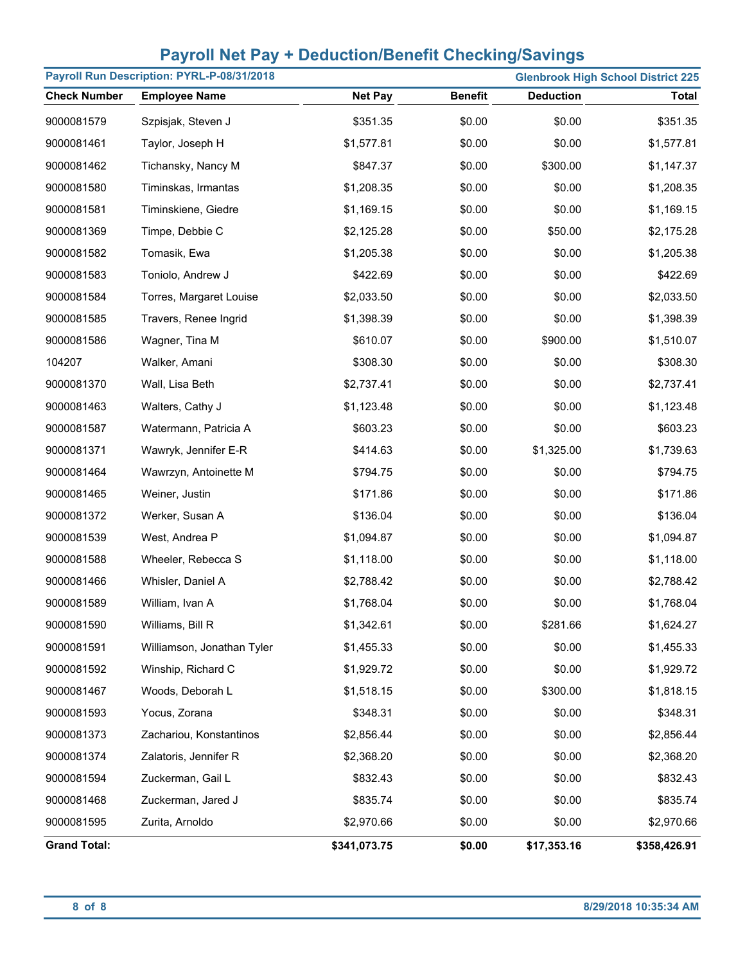| Payroll Run Description: PYRL-P-08/31/2018<br><b>Glenbrook High School District 225</b> |                            |                |                |                  |              |
|-----------------------------------------------------------------------------------------|----------------------------|----------------|----------------|------------------|--------------|
| <b>Check Number</b>                                                                     | <b>Employee Name</b>       | <b>Net Pay</b> | <b>Benefit</b> | <b>Deduction</b> | Total        |
| 9000081579                                                                              | Szpisjak, Steven J         | \$351.35       | \$0.00         | \$0.00           | \$351.35     |
| 9000081461                                                                              | Taylor, Joseph H           | \$1,577.81     | \$0.00         | \$0.00           | \$1,577.81   |
| 9000081462                                                                              | Tichansky, Nancy M         | \$847.37       | \$0.00         | \$300.00         | \$1,147.37   |
| 9000081580                                                                              | Timinskas, Irmantas        | \$1,208.35     | \$0.00         | \$0.00           | \$1,208.35   |
| 9000081581                                                                              | Timinskiene, Giedre        | \$1,169.15     | \$0.00         | \$0.00           | \$1,169.15   |
| 9000081369                                                                              | Timpe, Debbie C            | \$2,125.28     | \$0.00         | \$50.00          | \$2,175.28   |
| 9000081582                                                                              | Tomasik, Ewa               | \$1,205.38     | \$0.00         | \$0.00           | \$1,205.38   |
| 9000081583                                                                              | Toniolo, Andrew J          | \$422.69       | \$0.00         | \$0.00           | \$422.69     |
| 9000081584                                                                              | Torres, Margaret Louise    | \$2,033.50     | \$0.00         | \$0.00           | \$2,033.50   |
| 9000081585                                                                              | Travers, Renee Ingrid      | \$1,398.39     | \$0.00         | \$0.00           | \$1,398.39   |
| 9000081586                                                                              | Wagner, Tina M             | \$610.07       | \$0.00         | \$900.00         | \$1,510.07   |
| 104207                                                                                  | Walker, Amani              | \$308.30       | \$0.00         | \$0.00           | \$308.30     |
| 9000081370                                                                              | Wall, Lisa Beth            | \$2,737.41     | \$0.00         | \$0.00           | \$2,737.41   |
| 9000081463                                                                              | Walters, Cathy J           | \$1,123.48     | \$0.00         | \$0.00           | \$1,123.48   |
| 9000081587                                                                              | Watermann, Patricia A      | \$603.23       | \$0.00         | \$0.00           | \$603.23     |
| 9000081371                                                                              | Wawryk, Jennifer E-R       | \$414.63       | \$0.00         | \$1,325.00       | \$1,739.63   |
| 9000081464                                                                              | Wawrzyn, Antoinette M      | \$794.75       | \$0.00         | \$0.00           | \$794.75     |
| 9000081465                                                                              | Weiner, Justin             | \$171.86       | \$0.00         | \$0.00           | \$171.86     |
| 9000081372                                                                              | Werker, Susan A            | \$136.04       | \$0.00         | \$0.00           | \$136.04     |
| 9000081539                                                                              | West, Andrea P             | \$1,094.87     | \$0.00         | \$0.00           | \$1,094.87   |
| 9000081588                                                                              | Wheeler, Rebecca S         | \$1,118.00     | \$0.00         | \$0.00           | \$1,118.00   |
| 9000081466                                                                              | Whisler, Daniel A          | \$2,788.42     | \$0.00         | \$0.00           | \$2,788.42   |
| 9000081589                                                                              | William, Ivan A            | \$1,768.04     | \$0.00         | \$0.00           | \$1,768.04   |
| 9000081590                                                                              | Williams, Bill R           | \$1,342.61     | \$0.00         | \$281.66         | \$1,624.27   |
| 9000081591                                                                              | Williamson, Jonathan Tyler | \$1,455.33     | \$0.00         | \$0.00           | \$1,455.33   |
| 9000081592                                                                              | Winship, Richard C         | \$1,929.72     | \$0.00         | \$0.00           | \$1,929.72   |
| 9000081467                                                                              | Woods, Deborah L           | \$1,518.15     | \$0.00         | \$300.00         | \$1,818.15   |
| 9000081593                                                                              | Yocus, Zorana              | \$348.31       | \$0.00         | \$0.00           | \$348.31     |
| 9000081373                                                                              | Zachariou, Konstantinos    | \$2,856.44     | \$0.00         | \$0.00           | \$2,856.44   |
| 9000081374                                                                              | Zalatoris, Jennifer R      | \$2,368.20     | \$0.00         | \$0.00           | \$2,368.20   |
| 9000081594                                                                              | Zuckerman, Gail L          | \$832.43       | \$0.00         | \$0.00           | \$832.43     |
| 9000081468                                                                              | Zuckerman, Jared J         | \$835.74       | \$0.00         | \$0.00           | \$835.74     |
| 9000081595                                                                              | Zurita, Arnoldo            | \$2,970.66     | \$0.00         | \$0.00           | \$2,970.66   |
| <b>Grand Total:</b>                                                                     |                            | \$341,073.75   | \$0.00         | \$17,353.16      | \$358,426.91 |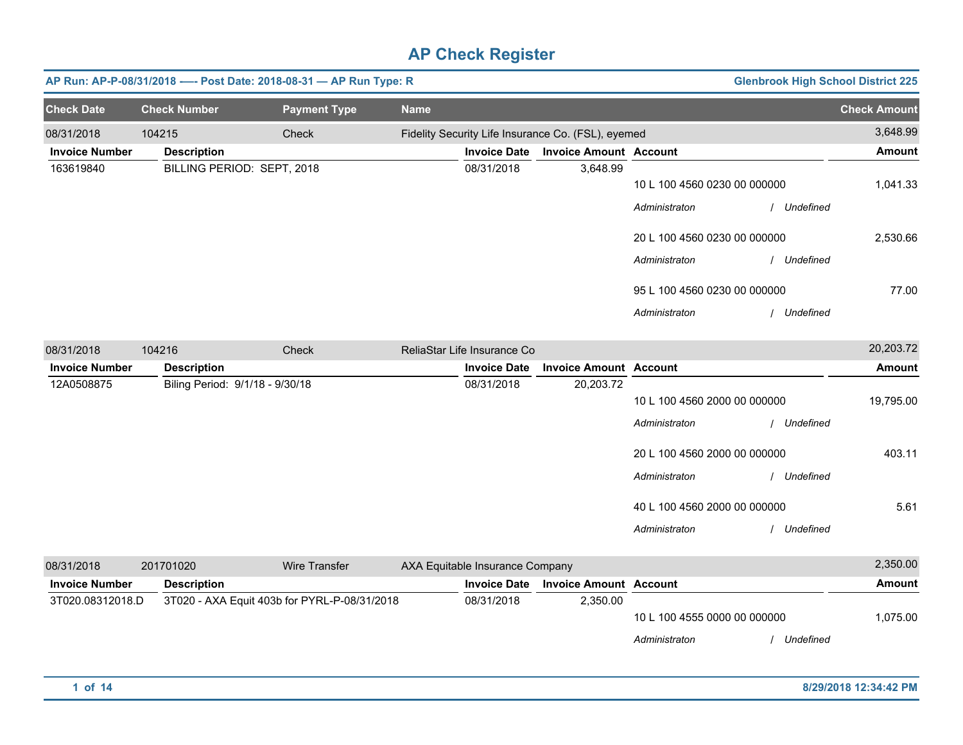|                       |                                 | AP Run: AP-P-08/31/2018 ---- Post Date: 2018-08-31 - AP Run Type: R |             |                                 |                                                    |                              | <b>Glenbrook High School District 225</b> |                     |
|-----------------------|---------------------------------|---------------------------------------------------------------------|-------------|---------------------------------|----------------------------------------------------|------------------------------|-------------------------------------------|---------------------|
| <b>Check Date</b>     | <b>Check Number</b>             | <b>Payment Type</b>                                                 | <b>Name</b> |                                 |                                                    |                              |                                           | <b>Check Amount</b> |
| 08/31/2018            | 104215                          | Check                                                               |             |                                 | Fidelity Security Life Insurance Co. (FSL), eyemed |                              |                                           | 3,648.99            |
| <b>Invoice Number</b> | <b>Description</b>              |                                                                     |             | <b>Invoice Date</b>             | <b>Invoice Amount Account</b>                      |                              |                                           | <b>Amount</b>       |
| 163619840             | BILLING PERIOD: SEPT, 2018      |                                                                     |             | 08/31/2018                      | 3,648.99                                           | 10 L 100 4560 0230 00 000000 |                                           | 1,041.33            |
|                       |                                 |                                                                     |             |                                 |                                                    | Administraton                | / Undefined                               |                     |
|                       |                                 |                                                                     |             |                                 |                                                    | 20 L 100 4560 0230 00 000000 |                                           | 2,530.66            |
|                       |                                 |                                                                     |             |                                 |                                                    | Administraton                | Undefined                                 |                     |
|                       |                                 |                                                                     |             |                                 |                                                    | 95 L 100 4560 0230 00 000000 |                                           | 77.00               |
|                       |                                 |                                                                     |             |                                 |                                                    | Administraton                | Undefined                                 |                     |
| 08/31/2018            | 104216                          | Check                                                               |             | ReliaStar Life Insurance Co     |                                                    |                              |                                           | 20,203.72           |
| <b>Invoice Number</b> | <b>Description</b>              |                                                                     |             | <b>Invoice Date</b>             | <b>Invoice Amount Account</b>                      |                              |                                           | <b>Amount</b>       |
| 12A0508875            | Biling Period: 9/1/18 - 9/30/18 |                                                                     |             | 08/31/2018                      | 20,203.72                                          |                              |                                           |                     |
|                       |                                 |                                                                     |             |                                 |                                                    | 10 L 100 4560 2000 00 000000 |                                           | 19,795.00           |
|                       |                                 |                                                                     |             |                                 |                                                    | Administraton                | Undefined                                 |                     |
|                       |                                 |                                                                     |             |                                 |                                                    | 20 L 100 4560 2000 00 000000 |                                           | 403.11              |
|                       |                                 |                                                                     |             |                                 |                                                    | Administraton                | Undefined                                 |                     |
|                       |                                 |                                                                     |             |                                 |                                                    | 40 L 100 4560 2000 00 000000 |                                           | 5.61                |
|                       |                                 |                                                                     |             |                                 |                                                    | Administraton                | / Undefined                               |                     |
| 08/31/2018            | 201701020                       | <b>Wire Transfer</b>                                                |             | AXA Equitable Insurance Company |                                                    |                              |                                           | 2,350.00            |
| <b>Invoice Number</b> | <b>Description</b>              |                                                                     |             | <b>Invoice Date</b>             | <b>Invoice Amount Account</b>                      |                              |                                           | Amount              |
| 3T020.08312018.D      |                                 | 3T020 - AXA Equit 403b for PYRL-P-08/31/2018                        |             | 08/31/2018                      | 2,350.00                                           | 10 L 100 4555 0000 00 000000 |                                           | 1,075.00            |
|                       |                                 |                                                                     |             |                                 |                                                    | Administraton                | / Undefined                               |                     |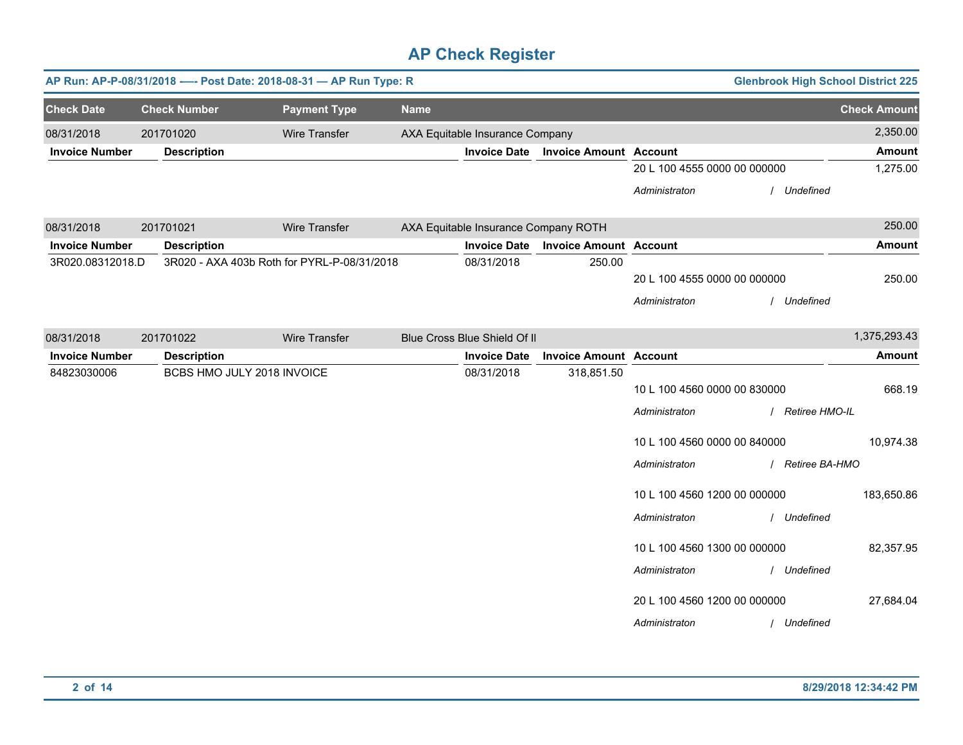|                       | AP Run: AP-P-08/31/2018 ---- Post Date: 2018-08-31 - AP Run Type: R<br><b>Glenbrook High School District 225</b> |                            |                                             |             |                                      |                               |                                               |                  |                     |
|-----------------------|------------------------------------------------------------------------------------------------------------------|----------------------------|---------------------------------------------|-------------|--------------------------------------|-------------------------------|-----------------------------------------------|------------------|---------------------|
| <b>Check Date</b>     |                                                                                                                  | <b>Check Number</b>        | <b>Payment Type</b>                         | <b>Name</b> |                                      |                               |                                               |                  | <b>Check Amount</b> |
| 08/31/2018            |                                                                                                                  | 201701020                  | <b>Wire Transfer</b>                        |             | AXA Equitable Insurance Company      |                               |                                               |                  | 2,350.00            |
| <b>Invoice Number</b> |                                                                                                                  | <b>Description</b>         |                                             |             | <b>Invoice Date</b>                  | <b>Invoice Amount Account</b> |                                               |                  | <b>Amount</b>       |
|                       |                                                                                                                  |                            |                                             |             |                                      |                               | 20 L 100 4555 0000 00 000000                  |                  | 1,275.00            |
|                       |                                                                                                                  |                            |                                             |             |                                      |                               | Administraton                                 | / Undefined      |                     |
| 08/31/2018            |                                                                                                                  | 201701021                  | <b>Wire Transfer</b>                        |             | AXA Equitable Insurance Company ROTH |                               |                                               |                  | 250.00              |
| <b>Invoice Number</b> |                                                                                                                  | <b>Description</b>         |                                             |             | <b>Invoice Date</b>                  | <b>Invoice Amount Account</b> |                                               |                  | <b>Amount</b>       |
| 3R020.08312018.D      |                                                                                                                  |                            | 3R020 - AXA 403b Roth for PYRL-P-08/31/2018 |             | 08/31/2018                           | 250.00                        | 20 L 100 4555 0000 00 000000<br>Administraton | / Undefined      | 250.00              |
| 08/31/2018            |                                                                                                                  | 201701022                  | Wire Transfer                               |             | Blue Cross Blue Shield Of II         |                               |                                               |                  | 1,375,293.43        |
| <b>Invoice Number</b> |                                                                                                                  | <b>Description</b>         |                                             |             | <b>Invoice Date</b>                  | <b>Invoice Amount Account</b> |                                               |                  | <b>Amount</b>       |
| 84823030006           |                                                                                                                  | BCBS HMO JULY 2018 INVOICE |                                             |             | 08/31/2018                           | 318,851.50                    | 10 L 100 4560 0000 00 830000<br>Administraton | / Retiree HMO-IL | 668.19              |
|                       |                                                                                                                  |                            |                                             |             |                                      |                               | 10 L 100 4560 0000 00 840000<br>Administraton | / Retiree BA-HMO | 10,974.38           |
|                       |                                                                                                                  |                            |                                             |             |                                      |                               | 10 L 100 4560 1200 00 000000<br>Administraton | / Undefined      | 183,650.86          |
|                       |                                                                                                                  |                            |                                             |             |                                      |                               | 10 L 100 4560 1300 00 000000<br>Administraton | / Undefined      | 82,357.95           |
|                       |                                                                                                                  |                            |                                             |             |                                      |                               | 20 L 100 4560 1200 00 000000<br>Administraton | / Undefined      | 27,684.04           |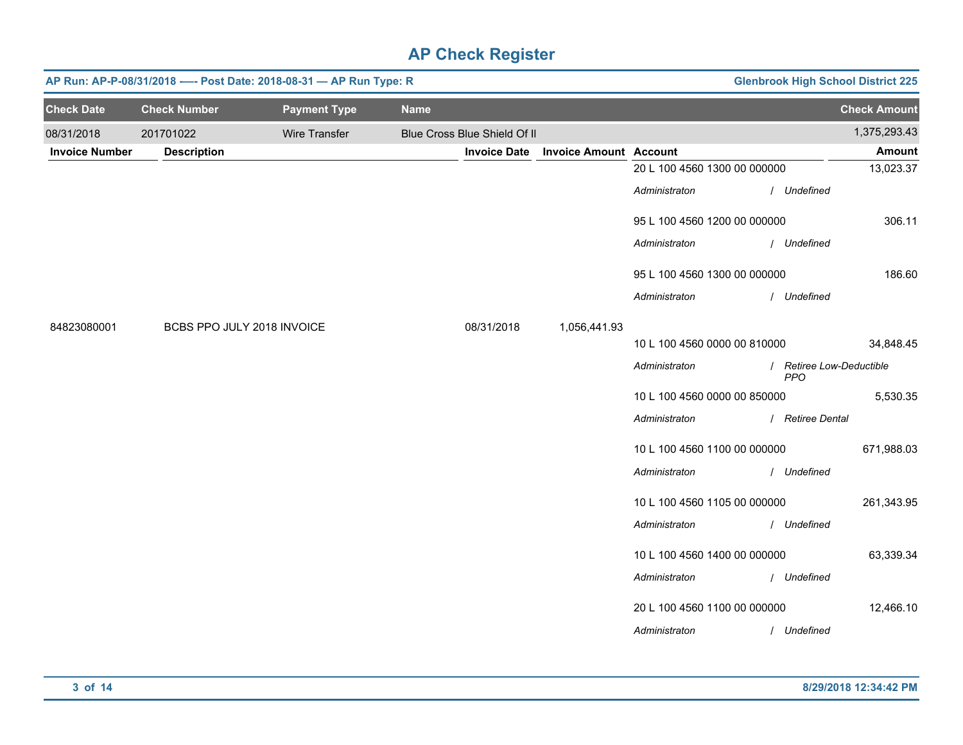|                       | <b>Glenbrook High School District 225</b><br>AP Run: AP-P-08/31/2018 ---- Post Date: 2018-08-31 - AP Run Type: R |                     |             |                              |                               |                              |  |                                        |                     |
|-----------------------|------------------------------------------------------------------------------------------------------------------|---------------------|-------------|------------------------------|-------------------------------|------------------------------|--|----------------------------------------|---------------------|
| <b>Check Date</b>     | <b>Check Number</b>                                                                                              | <b>Payment Type</b> | <b>Name</b> |                              |                               |                              |  |                                        | <b>Check Amount</b> |
| 08/31/2018            | 201701022                                                                                                        | Wire Transfer       |             | Blue Cross Blue Shield Of II |                               |                              |  |                                        | 1,375,293.43        |
| <b>Invoice Number</b> | <b>Description</b>                                                                                               |                     |             | <b>Invoice Date</b>          | <b>Invoice Amount Account</b> |                              |  |                                        | <b>Amount</b>       |
|                       |                                                                                                                  |                     |             |                              |                               | 20 L 100 4560 1300 00 000000 |  |                                        | 13,023.37           |
|                       |                                                                                                                  |                     |             |                              |                               | Administraton                |  | / Undefined                            |                     |
|                       |                                                                                                                  |                     |             |                              |                               | 95 L 100 4560 1200 00 000000 |  |                                        | 306.11              |
|                       |                                                                                                                  |                     |             |                              |                               | Administraton                |  | / Undefined                            |                     |
|                       |                                                                                                                  |                     |             |                              |                               | 95 L 100 4560 1300 00 000000 |  |                                        | 186.60              |
|                       |                                                                                                                  |                     |             |                              |                               | Administraton                |  | / Undefined                            |                     |
| 84823080001           | BCBS PPO JULY 2018 INVOICE                                                                                       |                     |             | 08/31/2018                   | 1,056,441.93                  |                              |  |                                        |                     |
|                       |                                                                                                                  |                     |             |                              |                               | 10 L 100 4560 0000 00 810000 |  |                                        | 34,848.45           |
|                       |                                                                                                                  |                     |             |                              |                               | Administraton                |  | / Retiree Low-Deductible<br><b>PPO</b> |                     |
|                       |                                                                                                                  |                     |             |                              |                               | 10 L 100 4560 0000 00 850000 |  |                                        | 5,530.35            |
|                       |                                                                                                                  |                     |             |                              |                               | Administraton                |  | / Retiree Dental                       |                     |
|                       |                                                                                                                  |                     |             |                              |                               | 10 L 100 4560 1100 00 000000 |  |                                        | 671,988.03          |
|                       |                                                                                                                  |                     |             |                              |                               | Administraton                |  | / Undefined                            |                     |
|                       |                                                                                                                  |                     |             |                              |                               | 10 L 100 4560 1105 00 000000 |  |                                        | 261,343.95          |
|                       |                                                                                                                  |                     |             |                              |                               | Administraton                |  | / Undefined                            |                     |
|                       |                                                                                                                  |                     |             |                              |                               | 10 L 100 4560 1400 00 000000 |  |                                        | 63,339.34           |
|                       |                                                                                                                  |                     |             |                              |                               | Administraton                |  | / Undefined                            |                     |
|                       |                                                                                                                  |                     |             |                              |                               | 20 L 100 4560 1100 00 000000 |  |                                        | 12,466.10           |
|                       |                                                                                                                  |                     |             |                              |                               | Administraton                |  | / Undefined                            |                     |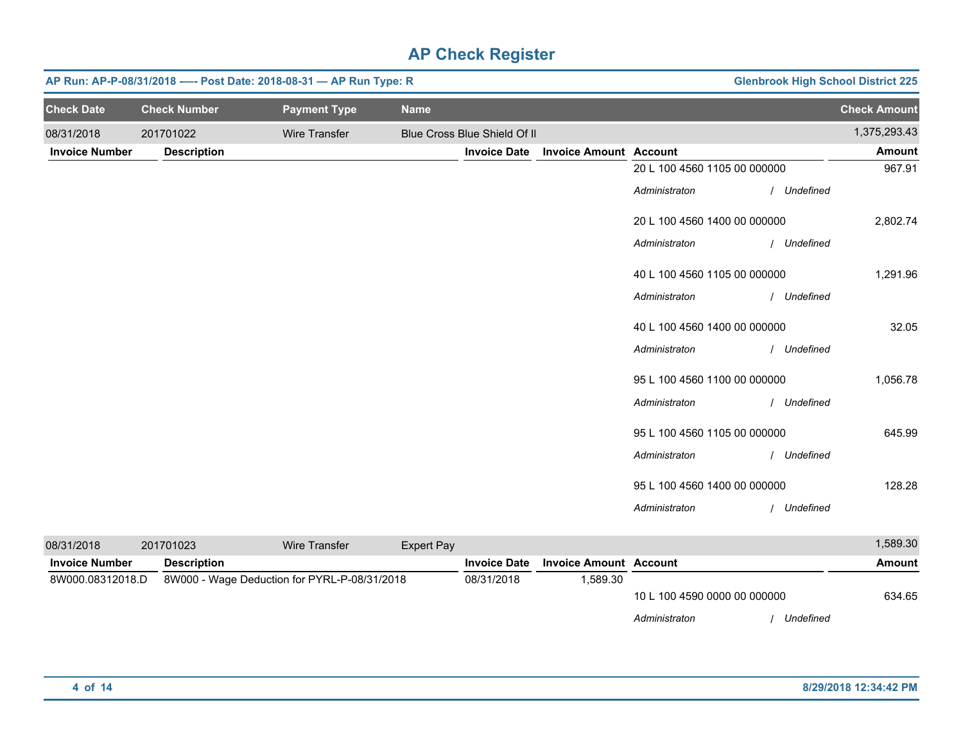|                       |                     | AP Run: AP-P-08/31/2018 ---- Post Date: 2018-08-31 - AP Run Type: R |                              | <b>Glenbrook High School District 225</b> |                              |             |                     |
|-----------------------|---------------------|---------------------------------------------------------------------|------------------------------|-------------------------------------------|------------------------------|-------------|---------------------|
| <b>Check Date</b>     | <b>Check Number</b> | <b>Payment Type</b>                                                 | <b>Name</b>                  |                                           |                              |             | <b>Check Amount</b> |
| 08/31/2018            | 201701022           | Wire Transfer                                                       | Blue Cross Blue Shield Of II |                                           |                              |             | 1,375,293.43        |
| <b>Invoice Number</b> | <b>Description</b>  |                                                                     | <b>Invoice Date</b>          | <b>Invoice Amount Account</b>             |                              |             | <b>Amount</b>       |
|                       |                     |                                                                     |                              |                                           | 20 L 100 4560 1105 00 000000 |             | 967.91              |
|                       |                     |                                                                     |                              |                                           | Administraton                | / Undefined |                     |
|                       |                     |                                                                     |                              |                                           | 20 L 100 4560 1400 00 000000 |             | 2,802.74            |
|                       |                     |                                                                     |                              |                                           | Administraton                | / Undefined |                     |
|                       |                     |                                                                     |                              |                                           | 40 L 100 4560 1105 00 000000 |             | 1,291.96            |
|                       |                     |                                                                     |                              |                                           | Administraton                | / Undefined |                     |
|                       |                     |                                                                     |                              |                                           | 40 L 100 4560 1400 00 000000 |             | 32.05               |
|                       |                     |                                                                     |                              |                                           | Administraton                | Undefined   |                     |
|                       |                     |                                                                     |                              |                                           | 95 L 100 4560 1100 00 000000 |             | 1,056.78            |
|                       |                     |                                                                     |                              |                                           | Administraton                | Undefined   |                     |
|                       |                     |                                                                     |                              |                                           | 95 L 100 4560 1105 00 000000 |             | 645.99              |
|                       |                     |                                                                     |                              |                                           | Administraton                | / Undefined |                     |
|                       |                     |                                                                     |                              |                                           | 95 L 100 4560 1400 00 000000 |             | 128.28              |
|                       |                     |                                                                     |                              |                                           | Administraton                | Undefined   |                     |

| 08/31/2018            | 201701023          | Wire Transfer                                | Expert Pay |                     |                               |                              |           | 1,589.30 |
|-----------------------|--------------------|----------------------------------------------|------------|---------------------|-------------------------------|------------------------------|-----------|----------|
| <b>Invoice Number</b> | <b>Description</b> |                                              |            | <b>Invoice Date</b> | <b>Invoice Amount Account</b> |                              |           | Amount   |
| 8W000.08312018.D      |                    | 8W000 - Wage Deduction for PYRL-P-08/31/2018 |            | 08/31/2018          | .589.30                       |                              |           |          |
|                       |                    |                                              |            |                     |                               | 10 L 100 4590 0000 00 000000 |           | 634.65   |
|                       |                    |                                              |            |                     |                               | Administraton                | Undefined |          |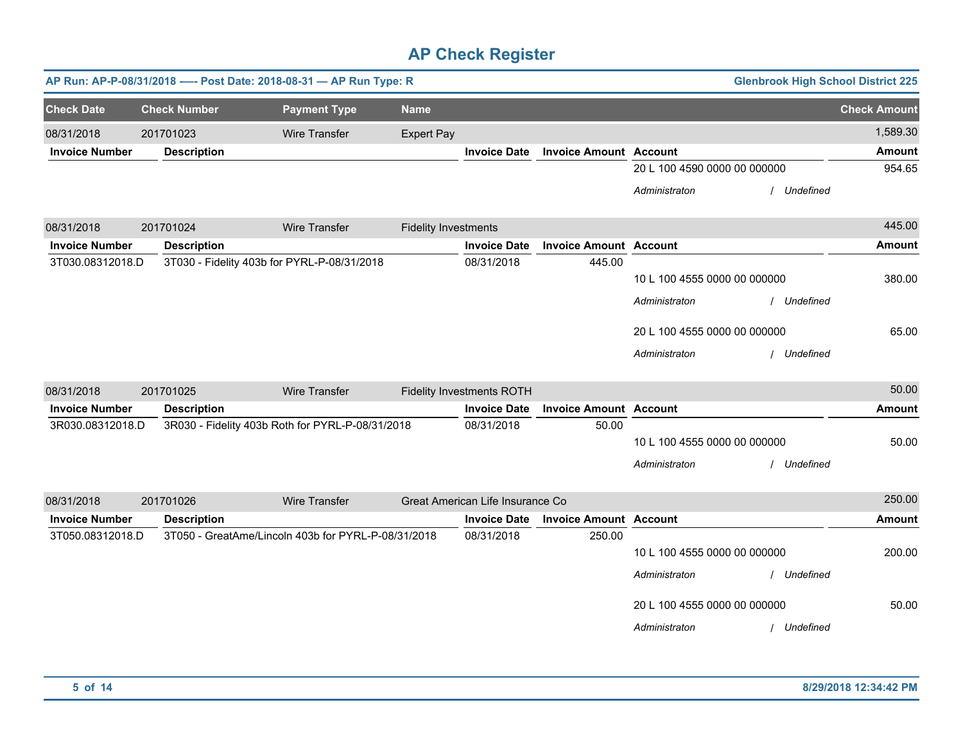|                       |                     | AP Run: AP-P-08/31/2018 ---- Post Date: 2018-08-31 - AP Run Type: R |                             |                                  |                               |                              | <b>Glenbrook High School District 225</b> |                     |
|-----------------------|---------------------|---------------------------------------------------------------------|-----------------------------|----------------------------------|-------------------------------|------------------------------|-------------------------------------------|---------------------|
| <b>Check Date</b>     | <b>Check Number</b> | <b>Payment Type</b>                                                 | <b>Name</b>                 |                                  |                               |                              |                                           | <b>Check Amount</b> |
| 08/31/2018            | 201701023           | <b>Wire Transfer</b>                                                | <b>Expert Pay</b>           |                                  |                               |                              |                                           | 1,589.30            |
| <b>Invoice Number</b> | <b>Description</b>  |                                                                     |                             | <b>Invoice Date</b>              | <b>Invoice Amount</b>         | <b>Account</b>               |                                           | <b>Amount</b>       |
|                       |                     |                                                                     |                             |                                  |                               | 20 L 100 4590 0000 00 000000 |                                           | 954.65              |
|                       |                     |                                                                     |                             |                                  |                               | Administraton                | Undefined                                 |                     |
| 08/31/2018            | 201701024           | <b>Wire Transfer</b>                                                | <b>Fidelity Investments</b> |                                  |                               |                              |                                           | 445.00              |
| <b>Invoice Number</b> | <b>Description</b>  |                                                                     |                             | <b>Invoice Date</b>              | <b>Invoice Amount Account</b> |                              |                                           | <b>Amount</b>       |
| 3T030.08312018.D      |                     | 3T030 - Fidelity 403b for PYRL-P-08/31/2018                         |                             | 08/31/2018                       | 445.00                        |                              |                                           |                     |
|                       |                     |                                                                     |                             |                                  |                               | 10 L 100 4555 0000 00 000000 |                                           | 380.00              |
|                       |                     |                                                                     |                             |                                  |                               | Administraton                | Undefined                                 |                     |
|                       |                     |                                                                     |                             |                                  |                               | 20 L 100 4555 0000 00 000000 |                                           | 65.00               |
|                       |                     |                                                                     |                             |                                  |                               | Administraton                | Undefined                                 |                     |
| 08/31/2018            | 201701025           | <b>Wire Transfer</b>                                                |                             | <b>Fidelity Investments ROTH</b> |                               |                              |                                           | 50.00               |
| <b>Invoice Number</b> | <b>Description</b>  |                                                                     |                             | <b>Invoice Date</b>              | <b>Invoice Amount</b>         | <b>Account</b>               |                                           | <b>Amount</b>       |
| 3R030.08312018.D      |                     | 3R030 - Fidelity 403b Roth for PYRL-P-08/31/2018                    |                             | 08/31/2018                       | 50.00                         |                              |                                           |                     |
|                       |                     |                                                                     |                             |                                  |                               | 10 L 100 4555 0000 00 000000 |                                           | 50.00               |
|                       |                     |                                                                     |                             |                                  |                               | Administraton                | Undefined                                 |                     |
| 08/31/2018            | 201701026           | Wire Transfer                                                       |                             | Great American Life Insurance Co |                               |                              |                                           | 250.00              |
| <b>Invoice Number</b> | <b>Description</b>  |                                                                     |                             | <b>Invoice Date</b>              | <b>Invoice Amount Account</b> |                              |                                           | <b>Amount</b>       |
| 3T050.08312018.D      |                     | 3T050 - GreatAme/Lincoln 403b for PYRL-P-08/31/2018                 |                             | 08/31/2018                       | 250.00                        |                              |                                           |                     |
|                       |                     |                                                                     |                             |                                  |                               | 10 L 100 4555 0000 00 000000 |                                           | 200.00              |
|                       |                     |                                                                     |                             |                                  |                               | Administraton                | Undefined                                 |                     |
|                       |                     |                                                                     |                             |                                  |                               | 20 L 100 4555 0000 00 000000 |                                           | 50.00               |
|                       |                     |                                                                     |                             |                                  |                               | Administraton                | Undefined                                 |                     |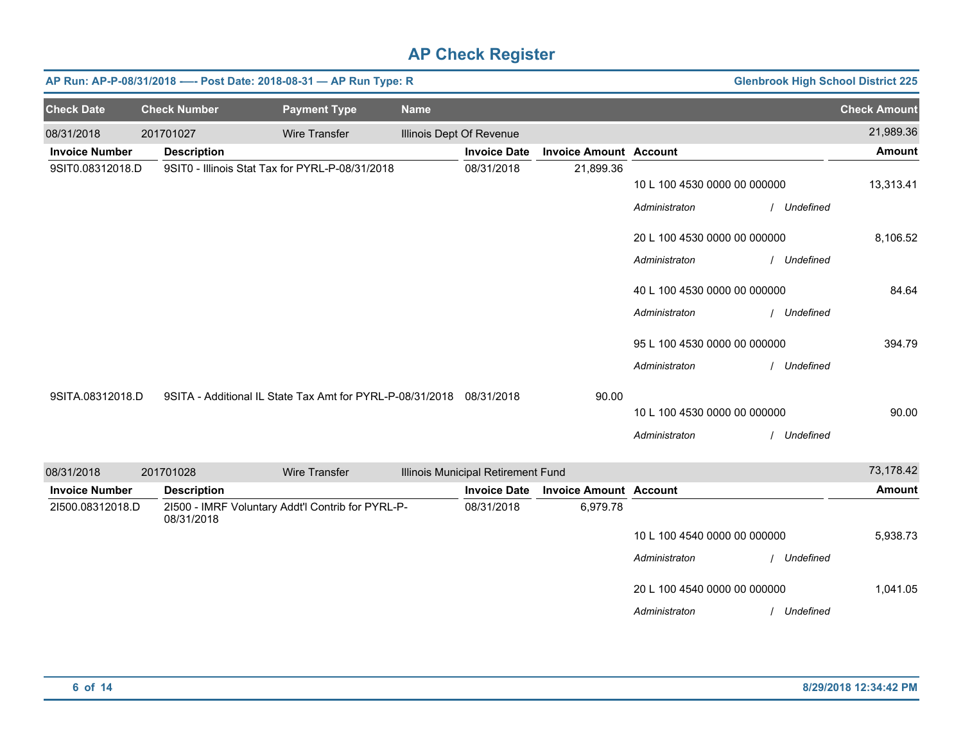| AP Run: AP-P-08/31/2018 ---- Post Date: 2018-08-31 - AP Run Type: R<br><b>Glenbrook High School District 225</b> |  |                     |                                                                      |             |                                    |                               |                                               |                          |
|------------------------------------------------------------------------------------------------------------------|--|---------------------|----------------------------------------------------------------------|-------------|------------------------------------|-------------------------------|-----------------------------------------------|--------------------------|
| <b>Check Date</b>                                                                                                |  | <b>Check Number</b> | <b>Payment Type</b>                                                  | <b>Name</b> |                                    |                               |                                               | <b>Check Amount</b>      |
| 08/31/2018                                                                                                       |  | 201701027           | <b>Wire Transfer</b>                                                 |             | Illinois Dept Of Revenue           |                               |                                               | 21,989.36                |
| <b>Invoice Number</b>                                                                                            |  | <b>Description</b>  |                                                                      |             | <b>Invoice Date</b>                | <b>Invoice Amount Account</b> |                                               | <b>Amount</b>            |
| 9SIT0.08312018.D                                                                                                 |  |                     | 9SIT0 - Illinois Stat Tax for PYRL-P-08/31/2018                      |             | 08/31/2018                         | 21,899.36                     | 10 L 100 4530 0000 00 000000<br>Administraton | 13,313.41<br>/ Undefined |
|                                                                                                                  |  |                     |                                                                      |             |                                    |                               | 20 L 100 4530 0000 00 000000                  | 8,106.52                 |
|                                                                                                                  |  |                     |                                                                      |             |                                    |                               | Administraton<br>40 L 100 4530 0000 00 000000 | / Undefined<br>84.64     |
|                                                                                                                  |  |                     |                                                                      |             |                                    |                               | Administraton                                 | / Undefined              |
|                                                                                                                  |  |                     |                                                                      |             |                                    |                               | 95 L 100 4530 0000 00 000000                  | 394.79                   |
|                                                                                                                  |  |                     |                                                                      |             |                                    |                               | Administraton                                 | / Undefined              |
| 9SITA.08312018.D                                                                                                 |  |                     | 9SITA - Additional IL State Tax Amt for PYRL-P-08/31/2018 08/31/2018 |             |                                    | 90.00                         |                                               |                          |
|                                                                                                                  |  |                     |                                                                      |             |                                    |                               | 10 L 100 4530 0000 00 000000                  | 90.00                    |
|                                                                                                                  |  |                     |                                                                      |             |                                    |                               | Administraton                                 | / Undefined              |
| 08/31/2018                                                                                                       |  | 201701028           | <b>Wire Transfer</b>                                                 |             | Illinois Municipal Retirement Fund |                               |                                               | 73,178.42                |
| <b>Invoice Number</b>                                                                                            |  | <b>Description</b>  |                                                                      |             | <b>Invoice Date</b>                | <b>Invoice Amount Account</b> |                                               | <b>Amount</b>            |
| 21500.08312018.D                                                                                                 |  | 08/31/2018          | 21500 - IMRF Voluntary Addt'l Contrib for PYRL-P-                    |             | 08/31/2018                         | 6,979.78                      |                                               |                          |
|                                                                                                                  |  |                     |                                                                      |             |                                    |                               | 10 L 100 4540 0000 00 000000                  | 5,938.73                 |
|                                                                                                                  |  |                     |                                                                      |             |                                    |                               | Administraton                                 | Undefined                |
|                                                                                                                  |  |                     |                                                                      |             |                                    |                               | 20 L 100 4540 0000 00 000000                  | 1,041.05                 |
|                                                                                                                  |  |                     |                                                                      |             |                                    |                               | Administraton                                 | / Undefined              |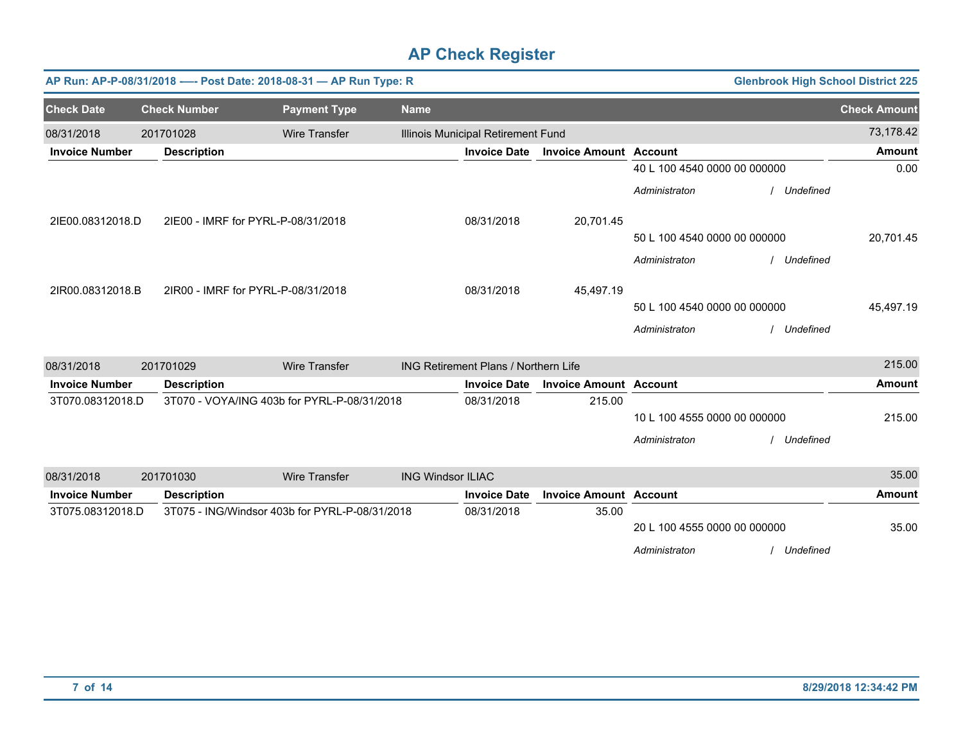|                       |                     |                                    | AP Run: AP-P-08/31/2018 ---- Post Date: 2018-08-31 - AP Run Type: R |                          |                                      |                               |                              | <b>Glenbrook High School District 225</b> |                     |
|-----------------------|---------------------|------------------------------------|---------------------------------------------------------------------|--------------------------|--------------------------------------|-------------------------------|------------------------------|-------------------------------------------|---------------------|
| <b>Check Date</b>     | <b>Check Number</b> |                                    | <b>Payment Type</b>                                                 | <b>Name</b>              |                                      |                               |                              |                                           | <b>Check Amount</b> |
| 08/31/2018            | 201701028           |                                    | <b>Wire Transfer</b>                                                |                          | Illinois Municipal Retirement Fund   |                               |                              |                                           | 73,178.42           |
| <b>Invoice Number</b> |                     | <b>Description</b>                 |                                                                     |                          | <b>Invoice Date</b>                  | <b>Invoice Amount Account</b> |                              |                                           | <b>Amount</b>       |
|                       |                     |                                    |                                                                     |                          |                                      |                               | 40 L 100 4540 0000 00 000000 |                                           | 0.00                |
|                       |                     |                                    |                                                                     |                          |                                      |                               | Administraton                | / Undefined                               |                     |
| 2IE00.08312018.D      |                     | 21E00 - IMRF for PYRL-P-08/31/2018 |                                                                     |                          | 08/31/2018                           | 20,701.45                     |                              |                                           |                     |
|                       |                     |                                    |                                                                     |                          |                                      |                               | 50 L 100 4540 0000 00 000000 |                                           | 20,701.45           |
|                       |                     |                                    |                                                                     |                          |                                      |                               | Administraton                | / Undefined                               |                     |
| 2IR00.08312018.B      |                     | 2IR00 - IMRF for PYRL-P-08/31/2018 |                                                                     |                          | 08/31/2018                           | 45,497.19                     |                              |                                           |                     |
|                       |                     |                                    |                                                                     |                          |                                      |                               | 50 L 100 4540 0000 00 000000 |                                           | 45,497.19           |
|                       |                     |                                    |                                                                     |                          |                                      |                               | Administraton                | Undefined                                 |                     |
| 08/31/2018            | 201701029           |                                    | <b>Wire Transfer</b>                                                |                          | ING Retirement Plans / Northern Life |                               |                              |                                           | 215.00              |
| <b>Invoice Number</b> |                     | <b>Description</b>                 |                                                                     |                          | <b>Invoice Date</b>                  | <b>Invoice Amount Account</b> |                              |                                           | <b>Amount</b>       |
| 3T070.08312018.D      |                     |                                    | 3T070 - VOYA/ING 403b for PYRL-P-08/31/2018                         |                          | 08/31/2018                           | 215.00                        | 10 L 100 4555 0000 00 000000 |                                           | 215.00              |
|                       |                     |                                    |                                                                     |                          |                                      |                               | Administraton                | Undefined                                 |                     |
| 08/31/2018            | 201701030           |                                    | <b>Wire Transfer</b>                                                | <b>ING Windsor ILIAC</b> |                                      |                               |                              |                                           | 35.00               |
| <b>Invoice Number</b> |                     | <b>Description</b>                 |                                                                     |                          | <b>Invoice Date</b>                  | <b>Invoice Amount Account</b> |                              |                                           | <b>Amount</b>       |
| 3T075.08312018.D      |                     |                                    | 3T075 - ING/Windsor 403b for PYRL-P-08/31/2018                      |                          | 08/31/2018                           | 35.00                         | 20 L 100 4555 0000 00 000000 |                                           | 35.00               |
|                       |                     |                                    |                                                                     |                          |                                      |                               | Administraton                | Undefined                                 |                     |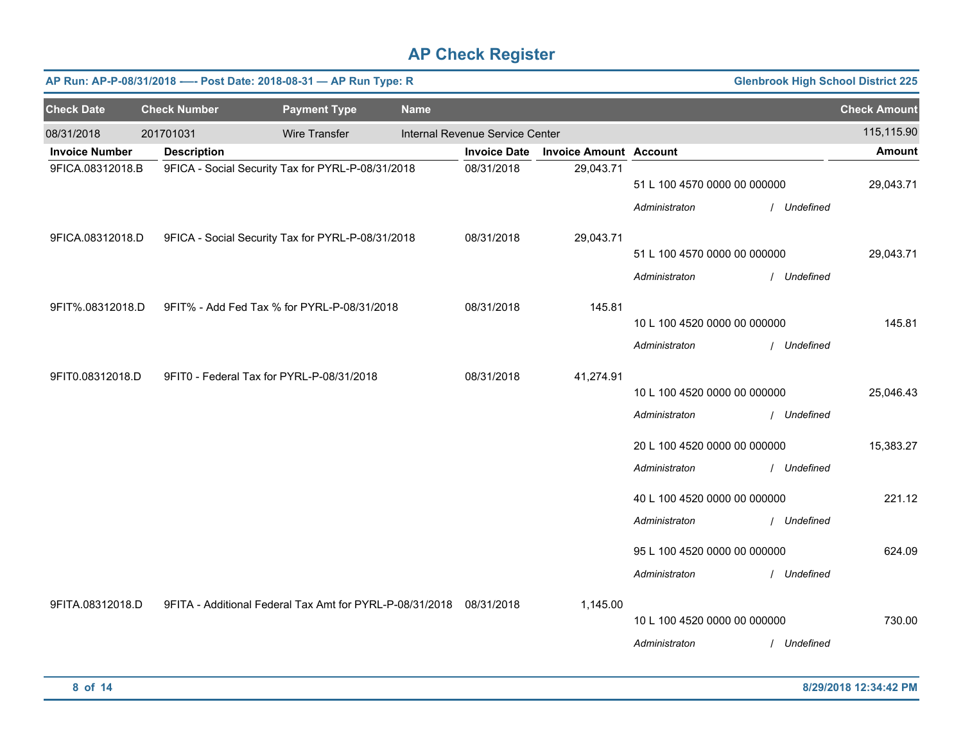|                       | AP Run: AP-P-08/31/2018 ---- Post Date: 2018-08-31 - AP Run Type: R<br><b>Glenbrook High School District 225</b> |                                                                     |             |                                 |                               |                              |             |                     |  |
|-----------------------|------------------------------------------------------------------------------------------------------------------|---------------------------------------------------------------------|-------------|---------------------------------|-------------------------------|------------------------------|-------------|---------------------|--|
| <b>Check Date</b>     | <b>Check Number</b>                                                                                              | <b>Payment Type</b>                                                 | <b>Name</b> |                                 |                               |                              |             | <b>Check Amount</b> |  |
| 08/31/2018            | 201701031                                                                                                        | <b>Wire Transfer</b>                                                |             | Internal Revenue Service Center |                               |                              |             | 115,115.90          |  |
| <b>Invoice Number</b> | <b>Description</b>                                                                                               |                                                                     |             | <b>Invoice Date</b>             | <b>Invoice Amount Account</b> |                              |             | <b>Amount</b>       |  |
| 9FICA.08312018.B      |                                                                                                                  | 9FICA - Social Security Tax for PYRL-P-08/31/2018                   |             | 08/31/2018                      | 29,043.71                     | 51 L 100 4570 0000 00 000000 |             | 29,043.71           |  |
|                       |                                                                                                                  |                                                                     |             |                                 |                               | Administraton                | / Undefined |                     |  |
| 9FICA.08312018.D      |                                                                                                                  | 9FICA - Social Security Tax for PYRL-P-08/31/2018                   |             | 08/31/2018                      | 29,043.71                     |                              |             |                     |  |
|                       |                                                                                                                  |                                                                     |             |                                 |                               | 51 L 100 4570 0000 00 000000 |             | 29,043.71           |  |
|                       |                                                                                                                  |                                                                     |             |                                 |                               | Administraton                | / Undefined |                     |  |
| 9FIT%.08312018.D      |                                                                                                                  | 9FIT% - Add Fed Tax % for PYRL-P-08/31/2018                         |             | 08/31/2018                      | 145.81                        |                              |             |                     |  |
|                       |                                                                                                                  |                                                                     |             |                                 |                               | 10 L 100 4520 0000 00 000000 |             | 145.81              |  |
|                       |                                                                                                                  |                                                                     |             |                                 |                               | Administraton                | / Undefined |                     |  |
| 9FIT0.08312018.D      |                                                                                                                  | 9FIT0 - Federal Tax for PYRL-P-08/31/2018                           |             | 08/31/2018                      | 41,274.91                     |                              |             |                     |  |
|                       |                                                                                                                  |                                                                     |             |                                 |                               | 10 L 100 4520 0000 00 000000 |             | 25,046.43           |  |
|                       |                                                                                                                  |                                                                     |             |                                 |                               | Administraton                | / Undefined |                     |  |
|                       |                                                                                                                  |                                                                     |             |                                 |                               | 20 L 100 4520 0000 00 000000 |             | 15,383.27           |  |
|                       |                                                                                                                  |                                                                     |             |                                 |                               | Administraton                | / Undefined |                     |  |
|                       |                                                                                                                  |                                                                     |             |                                 |                               | 40 L 100 4520 0000 00 000000 |             | 221.12              |  |
|                       |                                                                                                                  |                                                                     |             |                                 |                               | Administraton                | / Undefined |                     |  |
|                       |                                                                                                                  |                                                                     |             |                                 |                               |                              |             |                     |  |
|                       |                                                                                                                  |                                                                     |             |                                 |                               | 95 L 100 4520 0000 00 000000 |             | 624.09              |  |
|                       |                                                                                                                  |                                                                     |             |                                 |                               | Administraton                | / Undefined |                     |  |
| 9FITA.08312018.D      |                                                                                                                  | 9FITA - Additional Federal Tax Amt for PYRL-P-08/31/2018 08/31/2018 |             |                                 | 1,145.00                      |                              |             |                     |  |
|                       |                                                                                                                  |                                                                     |             |                                 |                               | 10 L 100 4520 0000 00 000000 |             | 730.00              |  |
|                       |                                                                                                                  |                                                                     |             |                                 |                               | Administraton                | / Undefined |                     |  |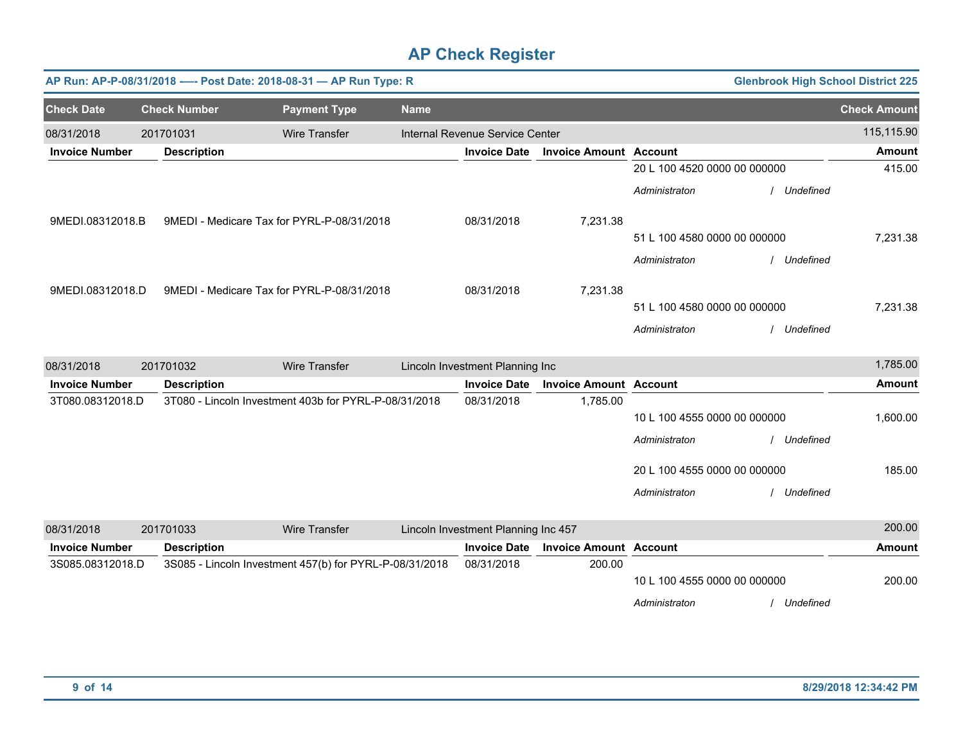|                       | AP Run: AP-P-08/31/2018 ---- Post Date: 2018-08-31 - AP Run Type: R<br><b>Glenbrook High School District 225</b> |                                                         |             |                                     |                               |                              |             |                     |  |  |
|-----------------------|------------------------------------------------------------------------------------------------------------------|---------------------------------------------------------|-------------|-------------------------------------|-------------------------------|------------------------------|-------------|---------------------|--|--|
| <b>Check Date</b>     | <b>Check Number</b>                                                                                              | <b>Payment Type</b>                                     | <b>Name</b> |                                     |                               |                              |             | <b>Check Amount</b> |  |  |
| 08/31/2018            | 201701031                                                                                                        | <b>Wire Transfer</b>                                    |             | Internal Revenue Service Center     |                               |                              |             | 115,115.90          |  |  |
| <b>Invoice Number</b> | <b>Description</b>                                                                                               |                                                         |             | <b>Invoice Date</b>                 | <b>Invoice Amount Account</b> |                              |             | <b>Amount</b>       |  |  |
|                       |                                                                                                                  |                                                         |             |                                     |                               | 20 L 100 4520 0000 00 000000 |             | 415.00              |  |  |
|                       |                                                                                                                  |                                                         |             |                                     |                               | Administraton                | Undefined   |                     |  |  |
| 9MEDI.08312018.B      |                                                                                                                  | 9MEDI - Medicare Tax for PYRL-P-08/31/2018              |             | 08/31/2018                          | 7,231.38                      |                              |             |                     |  |  |
|                       |                                                                                                                  |                                                         |             |                                     |                               | 51 L 100 4580 0000 00 000000 |             | 7,231.38            |  |  |
|                       |                                                                                                                  |                                                         |             |                                     |                               | Administraton                | / Undefined |                     |  |  |
| 9MEDI.08312018.D      |                                                                                                                  | 9MEDI - Medicare Tax for PYRL-P-08/31/2018              |             | 08/31/2018                          | 7,231.38                      |                              |             |                     |  |  |
|                       |                                                                                                                  |                                                         |             |                                     |                               | 51 L 100 4580 0000 00 000000 |             | 7,231.38            |  |  |
|                       |                                                                                                                  |                                                         |             |                                     |                               | Administraton                | Undefined   |                     |  |  |
| 08/31/2018            | 201701032                                                                                                        | <b>Wire Transfer</b>                                    |             | Lincoln Investment Planning Inc     |                               |                              |             | 1,785.00            |  |  |
| <b>Invoice Number</b> | <b>Description</b>                                                                                               |                                                         |             | <b>Invoice Date</b>                 | <b>Invoice Amount Account</b> |                              |             | <b>Amount</b>       |  |  |
| 3T080.08312018.D      |                                                                                                                  | 3T080 - Lincoln Investment 403b for PYRL-P-08/31/2018   |             | 08/31/2018                          | 1,785.00                      |                              |             |                     |  |  |
|                       |                                                                                                                  |                                                         |             |                                     |                               | 10 L 100 4555 0000 00 000000 |             | 1,600.00            |  |  |
|                       |                                                                                                                  |                                                         |             |                                     |                               | Administraton                | Undefined   |                     |  |  |
|                       |                                                                                                                  |                                                         |             |                                     |                               | 20 L 100 4555 0000 00 000000 |             | 185.00              |  |  |
|                       |                                                                                                                  |                                                         |             |                                     |                               | Administraton                | / Undefined |                     |  |  |
| 08/31/2018            | 201701033                                                                                                        | <b>Wire Transfer</b>                                    |             | Lincoln Investment Planning Inc 457 |                               |                              |             | 200.00              |  |  |
| <b>Invoice Number</b> | <b>Description</b>                                                                                               |                                                         |             | <b>Invoice Date</b>                 | <b>Invoice Amount Account</b> |                              |             | <b>Amount</b>       |  |  |
| 3S085.08312018.D      |                                                                                                                  | 3S085 - Lincoln Investment 457(b) for PYRL-P-08/31/2018 |             | 08/31/2018                          | 200.00                        |                              |             |                     |  |  |
|                       |                                                                                                                  |                                                         |             |                                     |                               | 10 L 100 4555 0000 00 000000 |             | 200.00              |  |  |
|                       |                                                                                                                  |                                                         |             |                                     |                               | Administraton                | Undefined   |                     |  |  |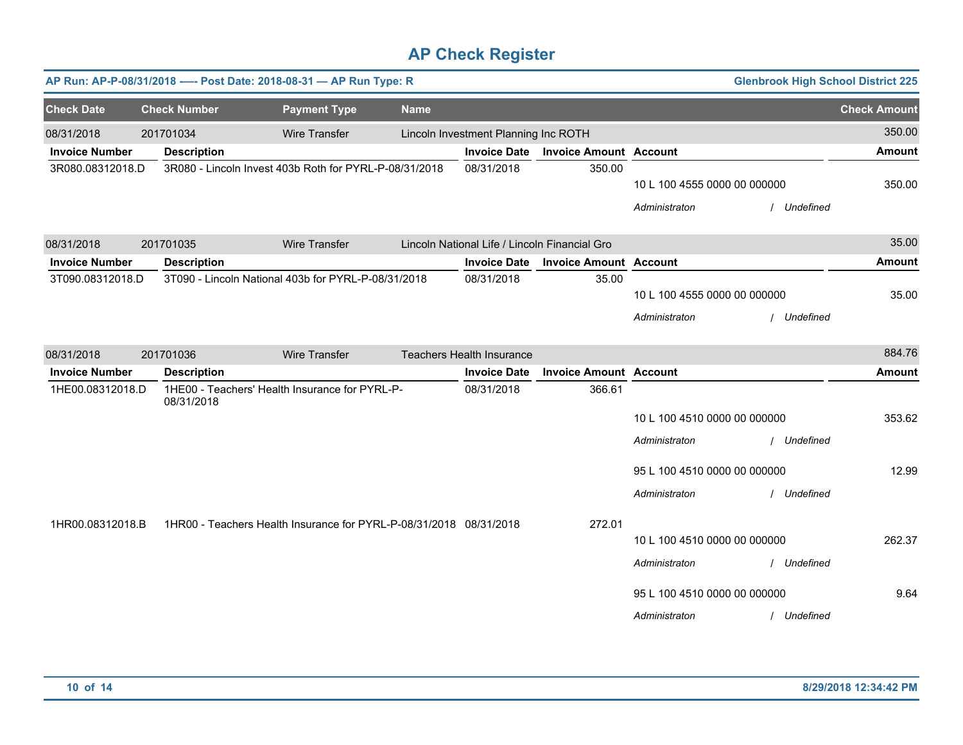|                       | <b>Glenbrook High School District 225</b><br>AP Run: AP-P-08/31/2018 ---- Post Date: 2018-08-31 - AP Run Type: R |                                                                    |             |                                               |                               |                                                                                                |                          |                     |  |  |
|-----------------------|------------------------------------------------------------------------------------------------------------------|--------------------------------------------------------------------|-------------|-----------------------------------------------|-------------------------------|------------------------------------------------------------------------------------------------|--------------------------|---------------------|--|--|
| <b>Check Date</b>     | <b>Check Number</b>                                                                                              | <b>Payment Type</b>                                                | <b>Name</b> |                                               |                               |                                                                                                |                          | <b>Check Amount</b> |  |  |
| 08/31/2018            | 201701034                                                                                                        | <b>Wire Transfer</b>                                               |             | Lincoln Investment Planning Inc ROTH          |                               |                                                                                                |                          | 350.00              |  |  |
| <b>Invoice Number</b> | <b>Description</b>                                                                                               |                                                                    |             | <b>Invoice Date</b>                           | <b>Invoice Amount Account</b> |                                                                                                |                          | <b>Amount</b>       |  |  |
| 3R080.08312018.D      |                                                                                                                  | 3R080 - Lincoln Invest 403b Roth for PYRL-P-08/31/2018             |             | 08/31/2018                                    | 350.00                        | 10 L 100 4555 0000 00 000000<br>Administraton                                                  | / Undefined              | 350.00              |  |  |
| 08/31/2018            | 201701035                                                                                                        | <b>Wire Transfer</b>                                               |             | Lincoln National Life / Lincoln Financial Gro |                               |                                                                                                |                          | 35.00               |  |  |
| <b>Invoice Number</b> | <b>Description</b>                                                                                               |                                                                    |             | <b>Invoice Date</b>                           | <b>Invoice Amount Account</b> |                                                                                                |                          | <b>Amount</b>       |  |  |
| 3T090.08312018.D      |                                                                                                                  | 3T090 - Lincoln National 403b for PYRL-P-08/31/2018                |             | 08/31/2018                                    | 35.00                         | 10 L 100 4555 0000 00 000000<br>Administraton                                                  | / Undefined              | 35.00               |  |  |
| 08/31/2018            | 201701036                                                                                                        | <b>Wire Transfer</b>                                               |             | Teachers Health Insurance                     |                               |                                                                                                |                          | 884.76              |  |  |
| <b>Invoice Number</b> | <b>Description</b>                                                                                               |                                                                    |             | <b>Invoice Date</b>                           | <b>Invoice Amount Account</b> |                                                                                                |                          | <b>Amount</b>       |  |  |
| 1HE00.08312018.D      | 08/31/2018                                                                                                       | 1HE00 - Teachers' Health Insurance for PYRL-P-                     |             | 08/31/2018                                    | 366.61                        | 10 L 100 4510 0000 00 000000<br>Administraton                                                  | / Undefined              | 353.62              |  |  |
|                       |                                                                                                                  |                                                                    |             |                                               |                               | 95 L 100 4510 0000 00 000000                                                                   |                          | 12.99               |  |  |
|                       |                                                                                                                  |                                                                    |             |                                               |                               | Administraton                                                                                  | / Undefined              |                     |  |  |
| 1HR00.08312018.B      |                                                                                                                  | 1HR00 - Teachers Health Insurance for PYRL-P-08/31/2018 08/31/2018 |             |                                               | 272.01                        | 10 L 100 4510 0000 00 000000<br>Administraton<br>95 L 100 4510 0000 00 000000<br>Administraton | Undefined<br>/ Undefined | 262.37<br>9.64      |  |  |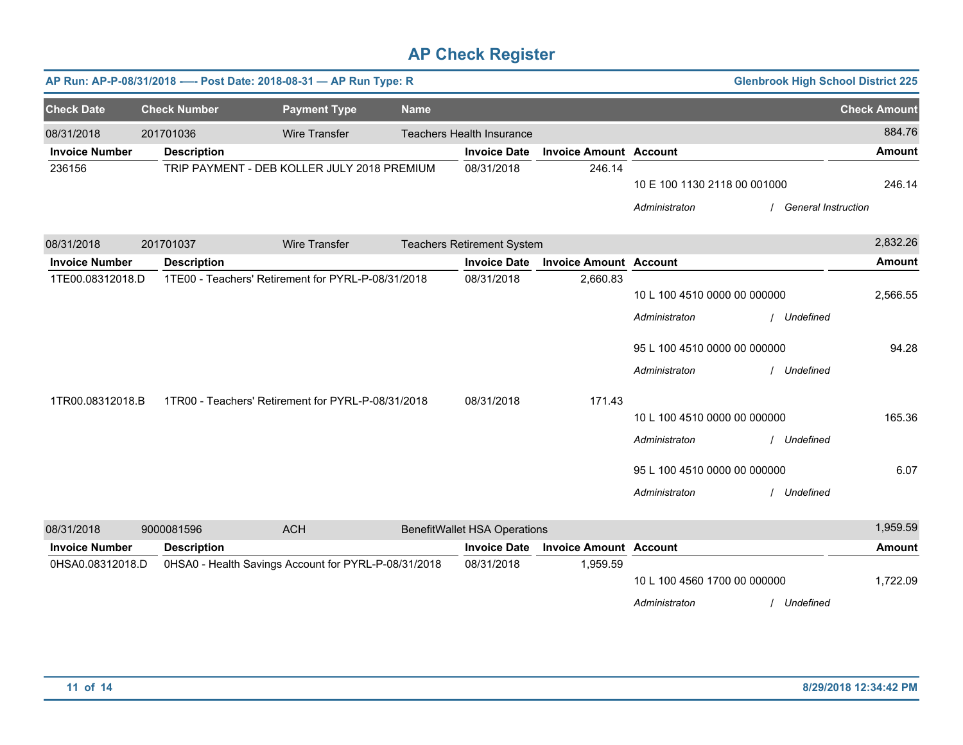| AP Run: AP-P-08/31/2018 ---- Post Date: 2018-08-31 - AP Run Type: R |                     |                                                      |             |                                     |                               |                              | <b>Glenbrook High School District 225</b> |                     |
|---------------------------------------------------------------------|---------------------|------------------------------------------------------|-------------|-------------------------------------|-------------------------------|------------------------------|-------------------------------------------|---------------------|
| <b>Check Date</b>                                                   | <b>Check Number</b> | <b>Payment Type</b>                                  | <b>Name</b> |                                     |                               |                              |                                           | <b>Check Amount</b> |
| 08/31/2018                                                          | 201701036           | <b>Wire Transfer</b>                                 |             | <b>Teachers Health Insurance</b>    |                               |                              |                                           | 884.76              |
| <b>Invoice Number</b>                                               | <b>Description</b>  |                                                      |             | <b>Invoice Date</b>                 | <b>Invoice Amount Account</b> |                              |                                           | <b>Amount</b>       |
| 236156                                                              |                     | TRIP PAYMENT - DEB KOLLER JULY 2018 PREMIUM          |             | 08/31/2018                          | 246.14                        | 10 E 100 1130 2118 00 001000 |                                           | 246.14              |
|                                                                     |                     |                                                      |             |                                     |                               | Administraton                | <b>General Instruction</b>                |                     |
| 08/31/2018                                                          | 201701037           | <b>Wire Transfer</b>                                 |             | <b>Teachers Retirement System</b>   |                               |                              |                                           | 2,832.26            |
| <b>Invoice Number</b>                                               | <b>Description</b>  |                                                      |             | <b>Invoice Date</b>                 | <b>Invoice Amount Account</b> |                              |                                           | <b>Amount</b>       |
| 1TE00.08312018.D                                                    |                     | 1TE00 - Teachers' Retirement for PYRL-P-08/31/2018   |             | 08/31/2018                          | 2,660.83                      | 10 L 100 4510 0000 00 000000 |                                           | 2,566.55            |
|                                                                     |                     |                                                      |             |                                     |                               | Administraton                | Undefined                                 |                     |
|                                                                     |                     |                                                      |             |                                     |                               | 95 L 100 4510 0000 00 000000 |                                           | 94.28               |
|                                                                     |                     |                                                      |             |                                     |                               | Administraton                | Undefined                                 |                     |
| 1TR00.08312018.B                                                    |                     | 1TR00 - Teachers' Retirement for PYRL-P-08/31/2018   |             | 08/31/2018                          | 171.43                        |                              |                                           |                     |
|                                                                     |                     |                                                      |             |                                     |                               | 10 L 100 4510 0000 00 000000 |                                           | 165.36              |
|                                                                     |                     |                                                      |             |                                     |                               | Administraton                | Undefined                                 |                     |
|                                                                     |                     |                                                      |             |                                     |                               | 95 L 100 4510 0000 00 000000 |                                           | 6.07                |
|                                                                     |                     |                                                      |             |                                     |                               | Administraton                | / Undefined                               |                     |
| 08/31/2018                                                          | 9000081596          | <b>ACH</b>                                           |             | <b>BenefitWallet HSA Operations</b> |                               |                              |                                           | 1,959.59            |
| <b>Invoice Number</b>                                               | <b>Description</b>  |                                                      |             | <b>Invoice Date</b>                 | <b>Invoice Amount Account</b> |                              |                                           | <b>Amount</b>       |
| 0HSA0.08312018.D                                                    |                     | 0HSA0 - Health Savings Account for PYRL-P-08/31/2018 |             | 08/31/2018                          | 1,959.59                      |                              |                                           |                     |
|                                                                     |                     |                                                      |             |                                     |                               | 10 L 100 4560 1700 00 000000 |                                           | 1,722.09            |
|                                                                     |                     |                                                      |             |                                     |                               | Administraton                | Undefined                                 |                     |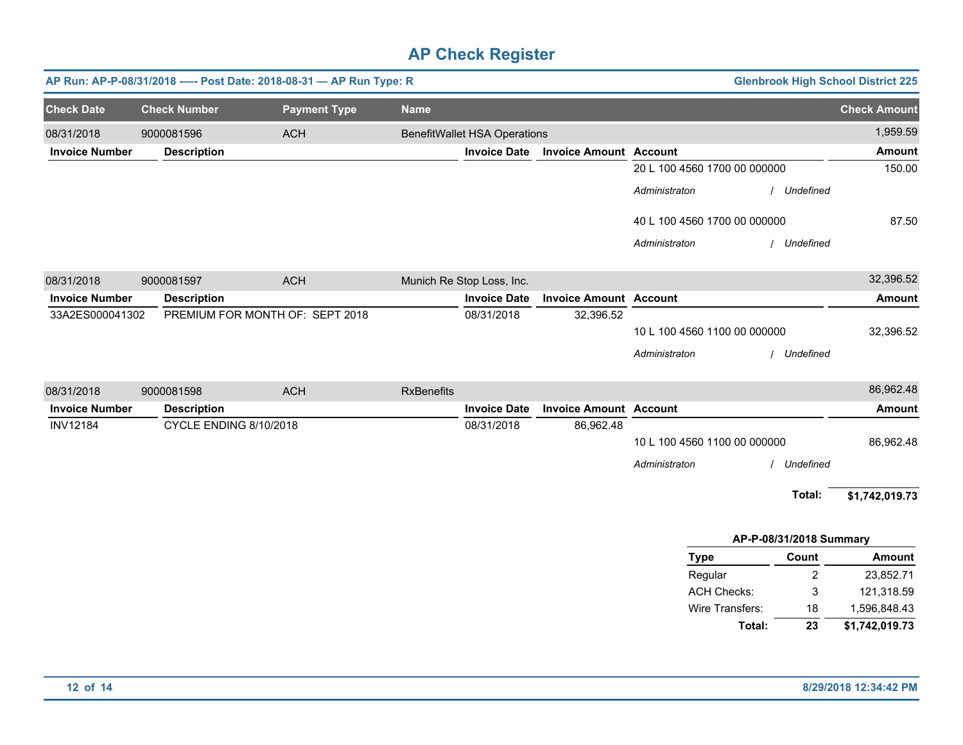|                       |                     | AP Run: AP-P-08/31/2018 ---- Post Date: 2018-08-31 - AP Run Type: R |                     |                   | <b>Glenbrook High School District 225</b> |                               |                              |           |                     |
|-----------------------|---------------------|---------------------------------------------------------------------|---------------------|-------------------|-------------------------------------------|-------------------------------|------------------------------|-----------|---------------------|
| <b>Check Date</b>     | <b>Check Number</b> |                                                                     | <b>Payment Type</b> | <b>Name</b>       |                                           |                               |                              |           | <b>Check Amount</b> |
| 08/31/2018            | 9000081596          | <b>ACH</b>                                                          |                     |                   | <b>BenefitWallet HSA Operations</b>       |                               |                              |           | 1,959.59            |
| <b>Invoice Number</b> | <b>Description</b>  |                                                                     |                     |                   | <b>Invoice Date</b>                       | <b>Invoice Amount Account</b> |                              |           | <b>Amount</b>       |
|                       |                     |                                                                     |                     |                   |                                           |                               | 20 L 100 4560 1700 00 000000 |           | 150.00              |
|                       |                     |                                                                     |                     |                   |                                           |                               | Administraton                | Undefined |                     |
|                       |                     |                                                                     |                     |                   |                                           |                               | 40 L 100 4560 1700 00 000000 |           | 87.50               |
|                       |                     |                                                                     |                     |                   |                                           |                               | Administraton                | Undefined |                     |
| 08/31/2018            | 9000081597          | <b>ACH</b>                                                          |                     |                   | Munich Re Stop Loss, Inc.                 |                               |                              |           | 32,396.52           |
| <b>Invoice Number</b> | <b>Description</b>  |                                                                     |                     |                   | <b>Invoice Date</b>                       | <b>Invoice Amount Account</b> |                              |           | <b>Amount</b>       |
| 33A2ES000041302       |                     | PREMIUM FOR MONTH OF: SEPT 2018                                     |                     |                   | 08/31/2018                                | 32,396.52                     |                              |           |                     |
|                       |                     |                                                                     |                     |                   |                                           |                               | 10 L 100 4560 1100 00 000000 |           | 32,396.52           |
|                       |                     |                                                                     |                     |                   |                                           |                               | Administraton                | Undefined |                     |
| 08/31/2018            | 9000081598          | <b>ACH</b>                                                          |                     | <b>RxBenefits</b> |                                           |                               |                              |           | 86,962.48           |
| <b>Invoice Number</b> | <b>Description</b>  |                                                                     |                     |                   | <b>Invoice Date</b>                       | <b>Invoice Amount Account</b> |                              |           | <b>Amount</b>       |
| <b>INV12184</b>       |                     | CYCLE ENDING 8/10/2018                                              |                     |                   | 08/31/2018                                | 86,962.48                     |                              |           |                     |
|                       |                     |                                                                     |                     |                   |                                           |                               | 10 L 100 4560 1100 00 000000 |           | 86,962.48           |
|                       |                     |                                                                     |                     |                   |                                           |                               | Administraton                | Undefined |                     |
|                       |                     |                                                                     |                     |                   |                                           |                               |                              | Total:    | \$1,742,019.73      |

| AP-P-08/31/2018 Summary |       |                |  |  |  |  |  |  |
|-------------------------|-------|----------------|--|--|--|--|--|--|
| <b>Type</b>             | Count | <b>Amount</b>  |  |  |  |  |  |  |
| Regular                 | 2     | 23,852.71      |  |  |  |  |  |  |
| <b>ACH Checks:</b>      | 3     | 121,318.59     |  |  |  |  |  |  |
| Wire Transfers:         | 18    | 1,596,848.43   |  |  |  |  |  |  |
| Total:                  | 23    | \$1,742,019.73 |  |  |  |  |  |  |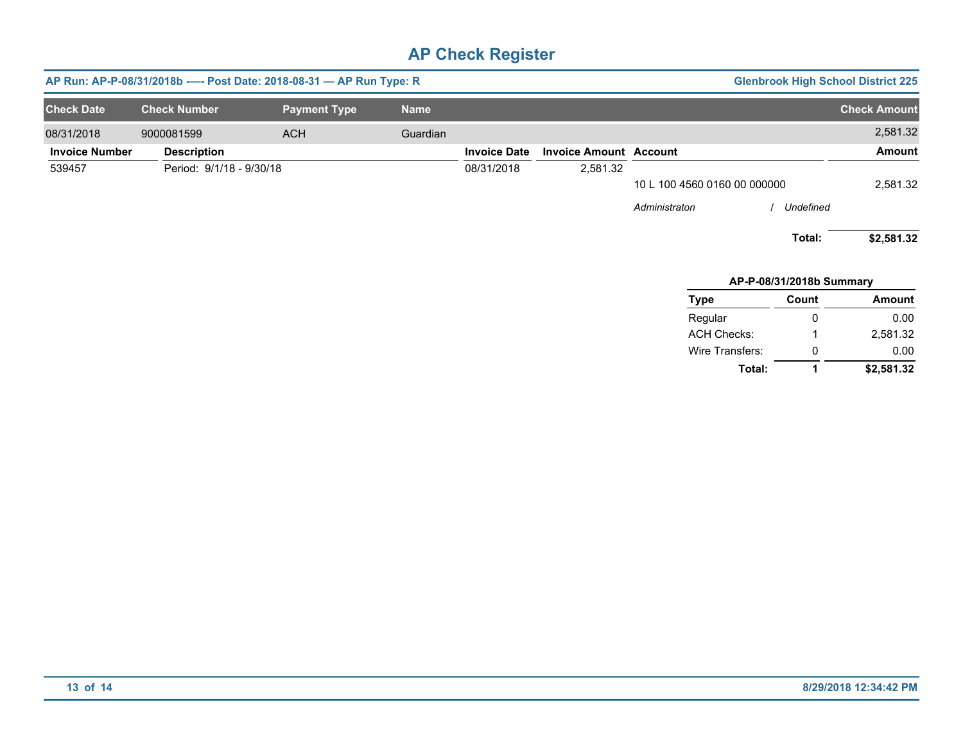| AP Run: AP-P-08/31/2018b - - - Post Date: 2018-08-31 - AP Run Type: R<br><b>Glenbrook High School District 225</b> |                          |                     |             |                     |                               |                              |           |                     |
|--------------------------------------------------------------------------------------------------------------------|--------------------------|---------------------|-------------|---------------------|-------------------------------|------------------------------|-----------|---------------------|
| <b>Check Date</b>                                                                                                  | <b>Check Number</b>      | <b>Payment Type</b> | <b>Name</b> |                     |                               |                              |           | <b>Check Amount</b> |
| 08/31/2018                                                                                                         | 9000081599               | <b>ACH</b>          | Guardian    |                     |                               |                              |           | 2,581.32            |
| <b>Invoice Number</b>                                                                                              | <b>Description</b>       |                     |             | <b>Invoice Date</b> | <b>Invoice Amount Account</b> |                              |           | Amount              |
| 539457                                                                                                             | Period: 9/1/18 - 9/30/18 |                     |             | 08/31/2018          | 2,581.32                      |                              |           |                     |
|                                                                                                                    |                          |                     |             |                     |                               | 10 L 100 4560 0160 00 000000 |           | 2,581.32            |
|                                                                                                                    |                          |                     |             |                     |                               | Administraton                | Undefined |                     |
|                                                                                                                    |                          |                     |             |                     |                               |                              | Total:    | \$2,581.32          |
|                                                                                                                    |                          |                     |             |                     |                               | AP-P-08/31/2018b Summary     |           |                     |
|                                                                                                                    |                          |                     |             |                     |                               | Type                         | Count     | <b>Amount</b>       |
|                                                                                                                    |                          |                     |             |                     |                               |                              |           |                     |

| <b>Type</b>        | count | Amount     |
|--------------------|-------|------------|
| Regular            | 0     | 0.00       |
| <b>ACH Checks:</b> | 1     | 2.581.32   |
| Wire Transfers:    | 0     | 0.00       |
| Total:             | 1     | \$2,581.32 |